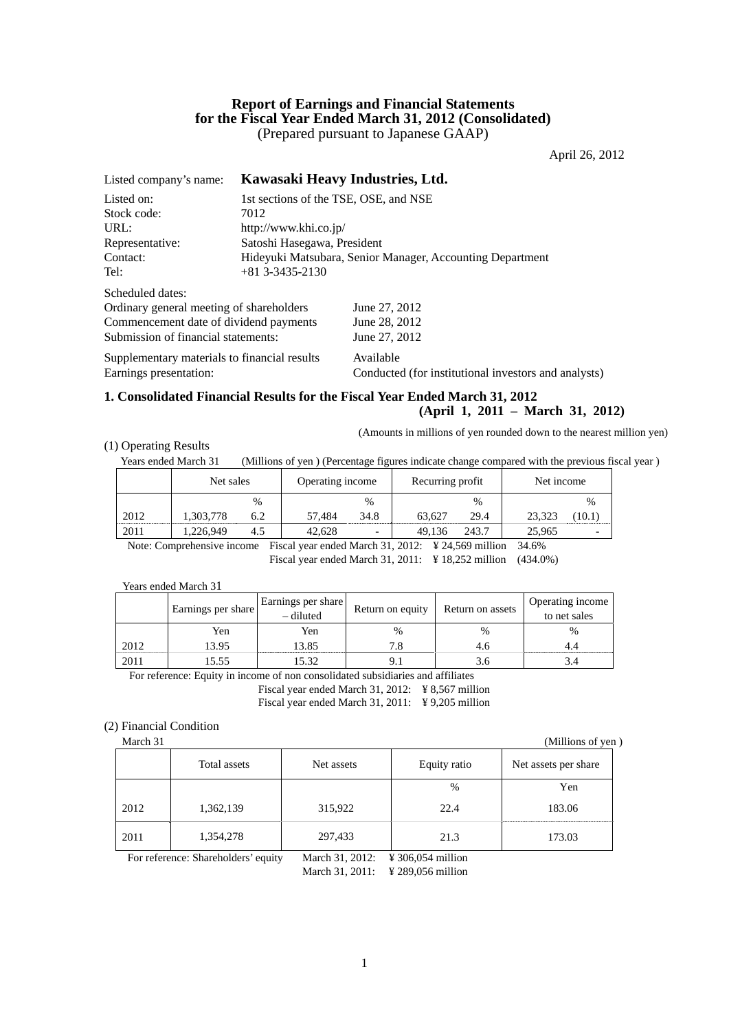## **Report of Earnings and Financial Statements for the Fiscal Year Ended March 31, 2012 (Consolidated)**  (Prepared pursuant to Japanese GAAP)

April 26, 2012

| Listed company's name:                       |                                                           | Kawasaki Heavy Industries, Ltd.                      |  |  |
|----------------------------------------------|-----------------------------------------------------------|------------------------------------------------------|--|--|
| Listed on:                                   |                                                           | 1st sections of the TSE, OSE, and NSE                |  |  |
| Stock code:                                  | 7012                                                      |                                                      |  |  |
| URL:                                         | http://www.khi.co.jp/                                     |                                                      |  |  |
| Representative:                              | Satoshi Hasegawa, President                               |                                                      |  |  |
| Contact:                                     | Hideyuki Matsubara, Senior Manager, Accounting Department |                                                      |  |  |
| Tel:                                         | $+81$ 3-3435-2130                                         |                                                      |  |  |
| Scheduled dates:                             |                                                           |                                                      |  |  |
| Ordinary general meeting of shareholders     |                                                           | June 27, 2012                                        |  |  |
| Commencement date of dividend payments       |                                                           | June 28, 2012                                        |  |  |
| Submission of financial statements:          |                                                           | June 27, 2012                                        |  |  |
| Supplementary materials to financial results |                                                           | Available                                            |  |  |
| Earnings presentation:                       |                                                           | Conducted (for institutional investors and analysts) |  |  |

# **1. Consolidated Financial Results for the Fiscal Year Ended March 31, 2012**

**(April 1, 2011 – March 31, 2012)** 

(Amounts in millions of yen rounded down to the nearest million yen)

#### (1) Operating Results

Years ended March 31 (Millions of yen ) (Percentage figures indicate change compared with the previous fiscal year )

| $\%$<br>$\frac{0}{0}$<br>$\frac{0}{0}$                      |        | $\frac{0}{0}$ |
|-------------------------------------------------------------|--------|---------------|
| 2012<br>.303,778<br>34.8<br>29.4<br>57.484<br>63.627<br>6.2 | 23.323 | (10.1)        |
| 2011<br>.226.949<br>243.7<br>42.628<br>49.136<br>4.5        | 25,965 |               |

Note: Comprehensive income Fiscal year ended March 31, 2012: ¥ 24,569 million 34.6% Fiscal year ended March 31, 2011: ¥ 18,252 million (434.0%)

#### Years ended March 31

|      | Earnings per share | Earnings per share<br>- diluted | Return on equity | Return on assets | Operating income<br>to net sales |
|------|--------------------|---------------------------------|------------------|------------------|----------------------------------|
|      | Yen                | Yen                             | %                | $\frac{0}{0}$    | $\frac{0}{0}$                    |
| 2012 | 13.95              | 13.85                           | 7.8              | 4.0              |                                  |
| 2011 | 15.55              | 5.32                            |                  |                  |                                  |

For reference: Equity in income of non consolidated subsidiaries and affiliates

Fiscal year ended March 31, 2012: ¥ 8,567 million Fiscal year ended March 31, 2011: ¥ 9,205 million

## (2) Financial Condition

| March 31 |              |            |              | (Millions of yen)    |
|----------|--------------|------------|--------------|----------------------|
|          | Total assets | Net assets | Equity ratio | Net assets per share |
|          |              |            | %            | Yen                  |
| 2012     | 1,362,139    | 315,922    | 22.4         | 183.06               |
| 2011     | 1,354,278    | 297,433    | 21.3         | 173.03               |

For reference: Shareholders' equity March 31, 2012: \fthe 306,054 million

March 31, 2011: \ \ \ 289,056 million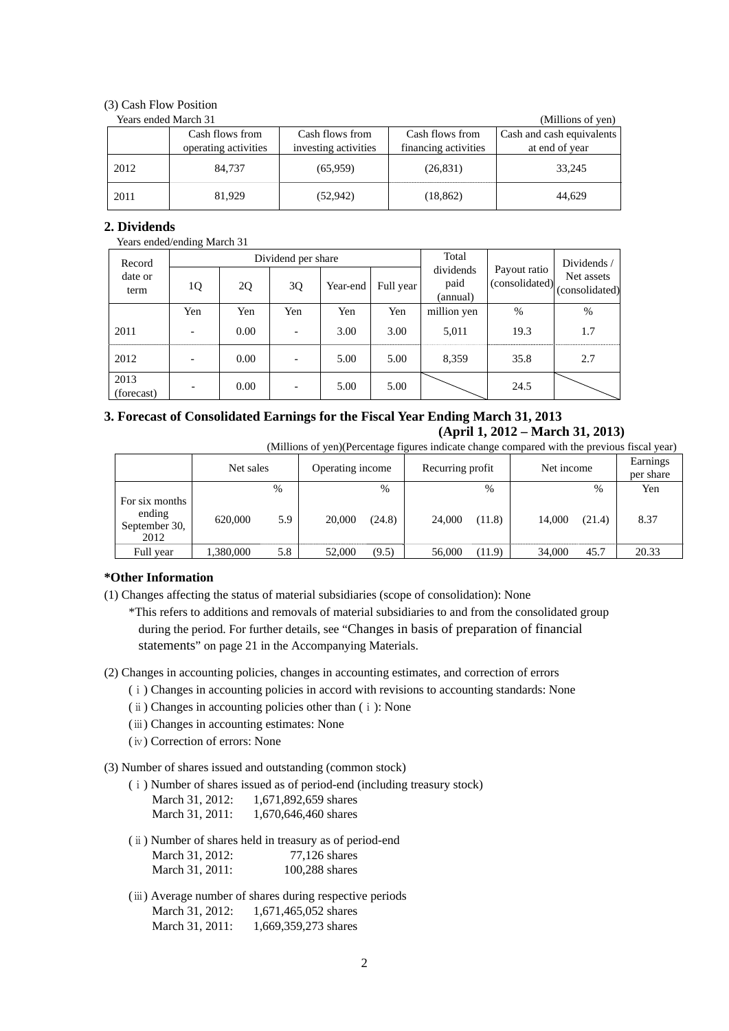## (3) Cash Flow Position

|      | Years ended March 31 |                      |                      | (Millions of yen)         |
|------|----------------------|----------------------|----------------------|---------------------------|
|      | Cash flows from      | Cash flows from      | Cash flows from      | Cash and cash equivalents |
|      | operating activities | investing activities | financing activities | at end of year            |
| 2012 | 84.737               | (65,959)             | (26, 831)            | 33,245                    |
| 2011 | 81,929               | (52, 942)            | (18, 862)            | 44,629                    |

## **2. Dividends**

#### Years ended/ending March 31

| Record             | Dividend per share       |      |                          |          | Total     |                               | Dividends /                    |                              |
|--------------------|--------------------------|------|--------------------------|----------|-----------|-------------------------------|--------------------------------|------------------------------|
| date or<br>term    | 1Q                       | 2Q   | 3Q                       | Year-end | Full year | dividends<br>paid<br>(annual) | Payout ratio<br>(consolidated) | Net assets<br>(consolidated) |
|                    | Yen                      | Yen  | Yen                      | Yen      | Yen       | million yen                   | $\%$                           | %                            |
| 2011               | $\overline{\phantom{a}}$ | 0.00 | $\overline{\phantom{a}}$ | 3.00     | 3.00      | 5,011                         | 19.3                           | 1.7                          |
| 2012               | $\overline{\phantom{a}}$ | 0.00 |                          | 5.00     | 5.00      | 8,359                         | 35.8                           | 2.7                          |
| 2013<br>(forecast) | $\overline{\phantom{a}}$ | 0.00 |                          | 5.00     | 5.00      |                               | 24.5                           |                              |

# **3. Forecast of Consolidated Earnings for the Fiscal Year Ending March 31, 2013 (April 1, 2012 – March 31, 2013)**

|  | (Millions of yen)(Percentage figures indicate change compared with the previous fiscal year) |  |  |  |  |  |
|--|----------------------------------------------------------------------------------------------|--|--|--|--|--|
|  |                                                                                              |  |  |  |  |  |

|                                                   | Net sales |     | Operating income | Recurring profit | Net income       | Earnings<br>per share |
|---------------------------------------------------|-----------|-----|------------------|------------------|------------------|-----------------------|
|                                                   |           | %   | $\%$             | %                | $\%$             | Yen                   |
| For six months<br>ending<br>September 30,<br>2012 | 620,000   | 5.9 | (24.8)<br>20,000 | 24,000<br>(11.8) | 14,000<br>(21.4) | 8.37                  |
| Full year                                         | 1,380,000 | 5.8 | (9.5)<br>52,000  | 56,000<br>(11.9) | 45.7<br>34,000   | 20.33                 |

## **\*Other Information**

(1) Changes affecting the status of material subsidiaries (scope of consolidation): None

\*This refers to additions and removals of material subsidiaries to and from the consolidated group during the period. For further details, see "Changes in basis of preparation of financial statements" on page 21 in the Accompanying Materials.

- (2) Changes in accounting policies, changes in accounting estimates, and correction of errors
	- (ⅰ) Changes in accounting policies in accord with revisions to accounting standards: None
	- (ⅱ) Changes in accounting policies other than (ⅰ): None
	- (ⅲ) Changes in accounting estimates: None
	- (ⅳ) Correction of errors: None

(3) Number of shares issued and outstanding (common stock)

(ⅰ) Number of shares issued as of period-end (including treasury stock)

| March 31, 2012: | 1,671,892,659 shares |
|-----------------|----------------------|
| March 31, 2011: | 1,670,646,460 shares |

- (ⅱ) Number of shares held in treasury as of period-end March 31, 2012: 77,126 shares March 31, 2011: 100,288 shares
- (ⅲ) Average number of shares during respective periods March 31, 2012: 1,671,465,052 shares March 31, 2011: 1,669,359,273 shares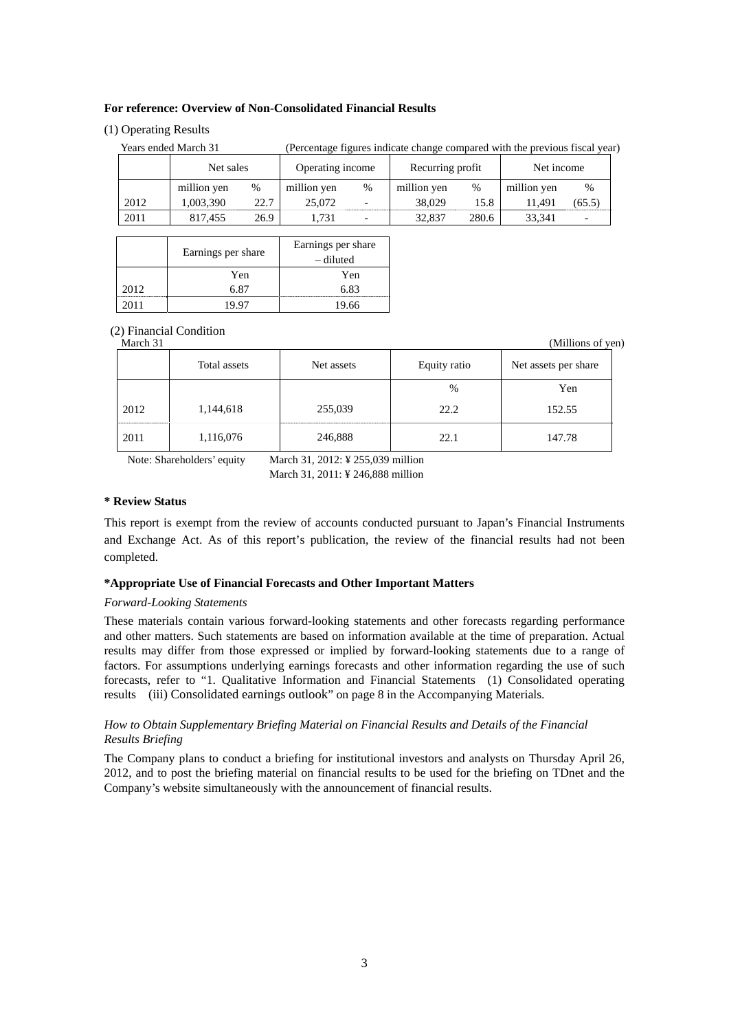## **For reference: Overview of Non-Consolidated Financial Results**

## (1) Operating Results

| Years ended March 31 |      |                  |                          |                  |       |             |                                                                             |
|----------------------|------|------------------|--------------------------|------------------|-------|-------------|-----------------------------------------------------------------------------|
|                      |      | Operating income |                          | Recurring profit |       | Net income  |                                                                             |
| million yen          | %    | million yen      | $\%$                     | million yen      | %     | million yen | $\frac{0}{0}$                                                               |
| 1,003,390            | 22.7 | 25,072           |                          | 38,029           | 15.8  | 11.491      | (65.5)                                                                      |
| 817.455              | 26.9 | 1.731            | $\overline{\phantom{0}}$ | 32,837           | 280.6 | 33.341      |                                                                             |
|                      |      | Net sales        |                          |                  |       |             | (Percentage figures indicate change compared with the previous fiscal year) |

|       | Earnings per share | Earnings per share<br>– diluted |
|-------|--------------------|---------------------------------|
|       | Yen                | Yen                             |
| 2012. | 6 ጸ7               | 6 83                            |
|       |                    | 19.66                           |

# (2) Financial Condition

| імаген эт |              |            |              | UNIIIIOIIS OI VEI    |
|-----------|--------------|------------|--------------|----------------------|
|           | Total assets | Net assets | Equity ratio | Net assets per share |
|           |              |            | %            | Yen                  |
| 2012      | 1,144,618    | 255,039    | 22.2         | 152.55               |
| 2011      | 1,116,076    | 246,888    | 22.1         | 147.78               |

Note: Shareholders' equity March 31, 2012: ¥ 255,039 million

March 31, 2011: ¥ 246,888 million

## **\* Review Status**

This report is exempt from the review of accounts conducted pursuant to Japan's Financial Instruments and Exchange Act. As of this report's publication, the review of the financial results had not been completed.

## **\*Appropriate Use of Financial Forecasts and Other Important Matters**

## *Forward-Looking Statements*

These materials contain various forward-looking statements and other forecasts regarding performance and other matters. Such statements are based on information available at the time of preparation. Actual results may differ from those expressed or implied by forward-looking statements due to a range of factors. For assumptions underlying earnings forecasts and other information regarding the use of such forecasts, refer to "1. Qualitative Information and Financial Statements (1) Consolidated operating results (iii) Consolidated earnings outlook" on page 8 in the Accompanying Materials.

## *How to Obtain Supplementary Briefing Material on Financial Results and Details of the Financial Results Briefing*

The Company plans to conduct a briefing for institutional investors and analysts on Thursday April 26, 2012, and to post the briefing material on financial results to be used for the briefing on TDnet and the Company's website simultaneously with the announcement of financial results.

3

(Millions of yen)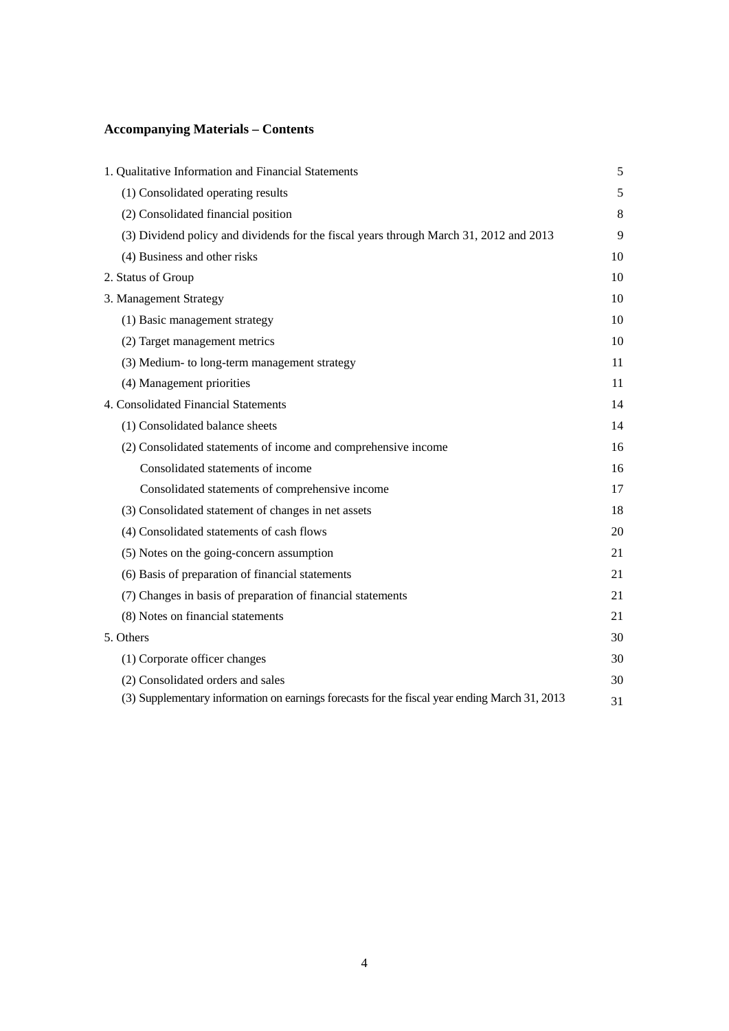# **Accompanying Materials – Contents**

| 1. Qualitative Information and Financial Statements                                           | 5  |
|-----------------------------------------------------------------------------------------------|----|
| (1) Consolidated operating results                                                            | 5  |
| (2) Consolidated financial position                                                           | 8  |
| (3) Dividend policy and dividends for the fiscal years through March 31, 2012 and 2013        | 9  |
| (4) Business and other risks                                                                  | 10 |
| 2. Status of Group                                                                            | 10 |
| 3. Management Strategy                                                                        | 10 |
| (1) Basic management strategy                                                                 | 10 |
| (2) Target management metrics                                                                 | 10 |
| (3) Medium- to long-term management strategy                                                  | 11 |
| (4) Management priorities                                                                     | 11 |
| 4. Consolidated Financial Statements                                                          | 14 |
| (1) Consolidated balance sheets                                                               | 14 |
| (2) Consolidated statements of income and comprehensive income                                | 16 |
| Consolidated statements of income                                                             | 16 |
| Consolidated statements of comprehensive income                                               | 17 |
| (3) Consolidated statement of changes in net assets                                           | 18 |
| (4) Consolidated statements of cash flows                                                     | 20 |
| (5) Notes on the going-concern assumption                                                     | 21 |
| (6) Basis of preparation of financial statements                                              | 21 |
| (7) Changes in basis of preparation of financial statements                                   | 21 |
| (8) Notes on financial statements                                                             | 21 |
| 5. Others                                                                                     | 30 |
| (1) Corporate officer changes                                                                 | 30 |
| (2) Consolidated orders and sales                                                             | 30 |
| (3) Supplementary information on earnings forecasts for the fiscal year ending March 31, 2013 | 31 |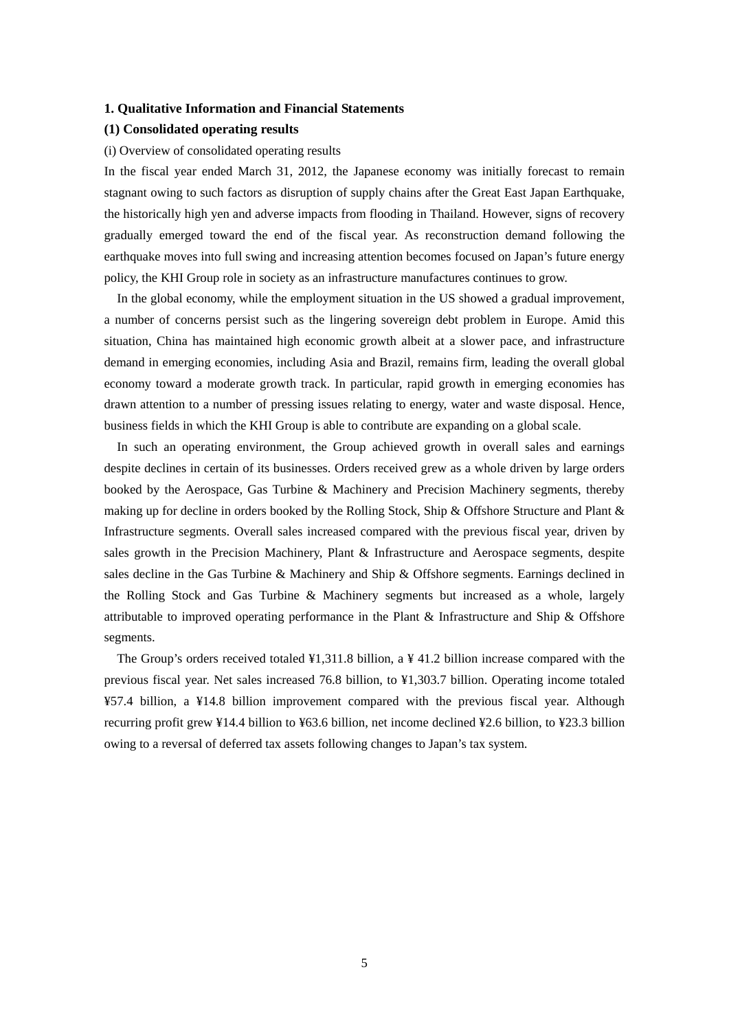#### **1. Qualitative Information and Financial Statements**

#### **(1) Consolidated operating results**

#### (i) Overview of consolidated operating results

In the fiscal year ended March 31, 2012, the Japanese economy was initially forecast to remain stagnant owing to such factors as disruption of supply chains after the Great East Japan Earthquake, the historically high yen and adverse impacts from flooding in Thailand. However, signs of recovery gradually emerged toward the end of the fiscal year. As reconstruction demand following the earthquake moves into full swing and increasing attention becomes focused on Japan's future energy policy, the KHI Group role in society as an infrastructure manufactures continues to grow.

In the global economy, while the employment situation in the US showed a gradual improvement, a number of concerns persist such as the lingering sovereign debt problem in Europe. Amid this situation, China has maintained high economic growth albeit at a slower pace, and infrastructure demand in emerging economies, including Asia and Brazil, remains firm, leading the overall global economy toward a moderate growth track. In particular, rapid growth in emerging economies has drawn attention to a number of pressing issues relating to energy, water and waste disposal. Hence, business fields in which the KHI Group is able to contribute are expanding on a global scale.

In such an operating environment, the Group achieved growth in overall sales and earnings despite declines in certain of its businesses. Orders received grew as a whole driven by large orders booked by the Aerospace, Gas Turbine & Machinery and Precision Machinery segments, thereby making up for decline in orders booked by the Rolling Stock, Ship & Offshore Structure and Plant  $\&$ Infrastructure segments. Overall sales increased compared with the previous fiscal year, driven by sales growth in the Precision Machinery, Plant & Infrastructure and Aerospace segments, despite sales decline in the Gas Turbine & Machinery and Ship & Offshore segments. Earnings declined in the Rolling Stock and Gas Turbine & Machinery segments but increased as a whole, largely attributable to improved operating performance in the Plant & Infrastructure and Ship & Offshore segments.

The Group's orders received totaled  $\frac{1}{4}$ , 11.8 billion, a  $\frac{1}{4}$  41.2 billion increase compared with the previous fiscal year. Net sales increased 76.8 billion, to ¥1,303.7 billion. Operating income totaled ¥57.4 billion, a ¥14.8 billion improvement compared with the previous fiscal year. Although recurring profit grew ¥14.4 billion to ¥63.6 billion, net income declined ¥2.6 billion, to ¥23.3 billion owing to a reversal of deferred tax assets following changes to Japan's tax system.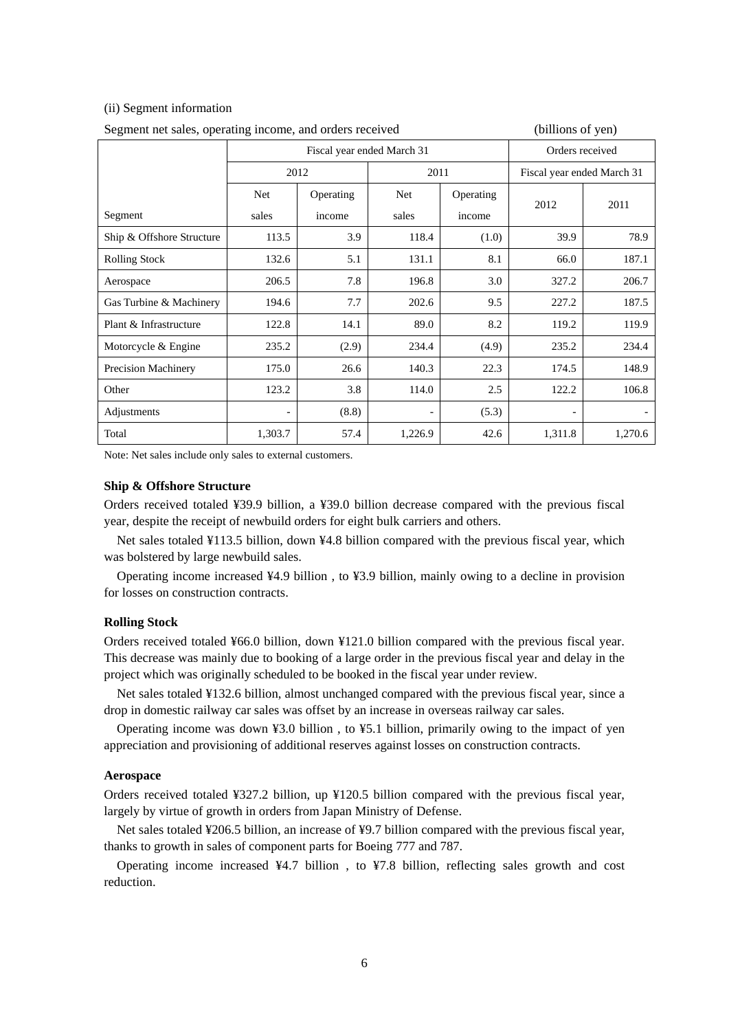#### (ii) Segment information

| Segment net sales, operating income, and orders received | (billions of yen)          |           |            |                 |                            |         |
|----------------------------------------------------------|----------------------------|-----------|------------|-----------------|----------------------------|---------|
|                                                          | Fiscal year ended March 31 |           |            | Orders received |                            |         |
|                                                          |                            | 2012      | 2011       |                 | Fiscal year ended March 31 |         |
|                                                          | Net                        | Operating | <b>Net</b> | Operating       |                            |         |
| Segment                                                  | sales                      | income    | sales      | income          | 2012                       | 2011    |
| Ship & Offshore Structure                                | 113.5                      | 3.9       | 118.4      | (1.0)           | 39.9                       | 78.9    |
| <b>Rolling Stock</b>                                     | 132.6                      | 5.1       | 131.1      | 8.1             | 66.0                       | 187.1   |
| Aerospace                                                | 206.5                      | 7.8       | 196.8      | 3.0             | 327.2                      | 206.7   |
| Gas Turbine & Machinery                                  | 194.6                      | 7.7       | 202.6      | 9.5             | 227.2                      | 187.5   |
| Plant & Infrastructure                                   | 122.8                      | 14.1      | 89.0       | 8.2             | 119.2                      | 119.9   |
| Motorcycle & Engine                                      | 235.2                      | (2.9)     | 234.4      | (4.9)           | 235.2                      | 234.4   |
| <b>Precision Machinery</b>                               | 175.0                      | 26.6      | 140.3      | 22.3            | 174.5                      | 148.9   |
| Other                                                    | 123.2                      | 3.8       | 114.0      | 2.5             | 122.2                      | 106.8   |
| Adjustments                                              |                            | (8.8)     |            | (5.3)           |                            |         |
| Total                                                    | 1,303.7                    | 57.4      | 1,226.9    | 42.6            | 1,311.8                    | 1,270.6 |

Segment net sales, operating income, and orders received (billions of yen)

Note: Net sales include only sales to external customers.

## **Ship & Offshore Structure**

Orders received totaled ¥39.9 billion, a ¥39.0 billion decrease compared with the previous fiscal year, despite the receipt of newbuild orders for eight bulk carriers and others.

Net sales totaled ¥113.5 billion, down ¥4.8 billion compared with the previous fiscal year, which was bolstered by large newbuild sales.

Operating income increased ¥4.9 billion , to ¥3.9 billion, mainly owing to a decline in provision for losses on construction contracts.

#### **Rolling Stock**

Orders received totaled ¥66.0 billion, down ¥121.0 billion compared with the previous fiscal year. This decrease was mainly due to booking of a large order in the previous fiscal year and delay in the project which was originally scheduled to be booked in the fiscal year under review.

Net sales totaled ¥132.6 billion, almost unchanged compared with the previous fiscal year, since a drop in domestic railway car sales was offset by an increase in overseas railway car sales.

Operating income was down ¥3.0 billion , to ¥5.1 billion, primarily owing to the impact of yen appreciation and provisioning of additional reserves against losses on construction contracts.

#### **Aerospace**

Orders received totaled ¥327.2 billion, up ¥120.5 billion compared with the previous fiscal year, largely by virtue of growth in orders from Japan Ministry of Defense.

Net sales totaled ¥206.5 billion, an increase of ¥9.7 billion compared with the previous fiscal year, thanks to growth in sales of component parts for Boeing 777 and 787.

Operating income increased  $\frac{44.7}{1000}$  billion, to  $\frac{47.8}{1000}$  billion, reflecting sales growth and cost reduction.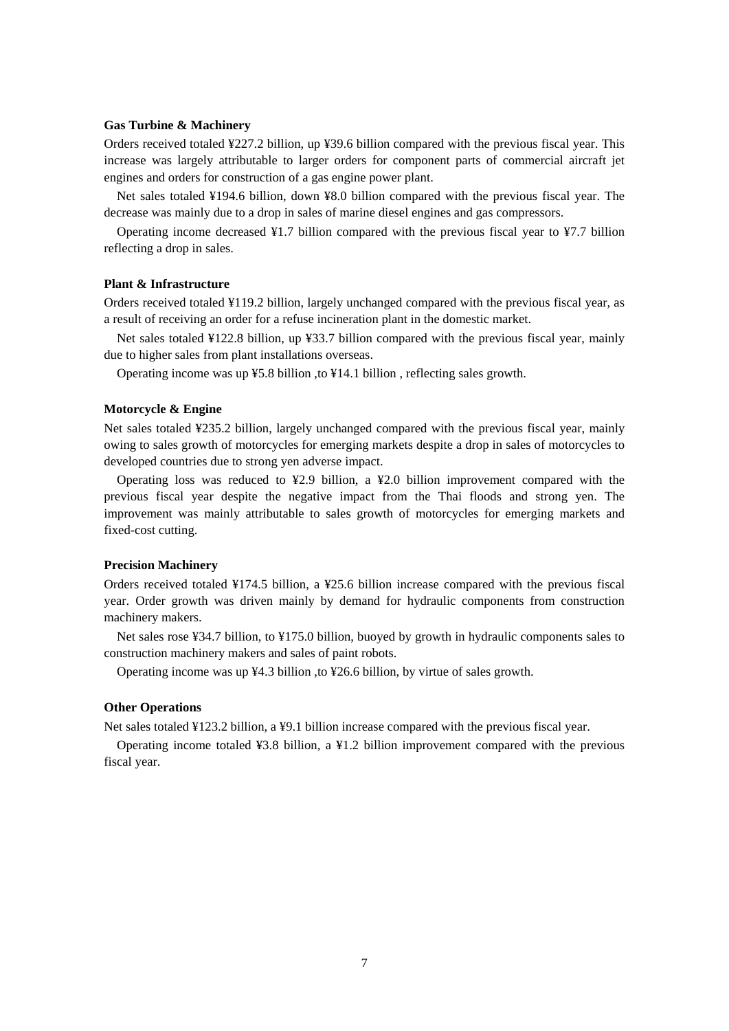## **Gas Turbine & Machinery**

Orders received totaled ¥227.2 billion, up ¥39.6 billion compared with the previous fiscal year. This increase was largely attributable to larger orders for component parts of commercial aircraft jet engines and orders for construction of a gas engine power plant.

Net sales totaled ¥194.6 billion, down ¥8.0 billion compared with the previous fiscal year. The decrease was mainly due to a drop in sales of marine diesel engines and gas compressors.

Operating income decreased ¥1.7 billion compared with the previous fiscal year to ¥7.7 billion reflecting a drop in sales.

## **Plant & Infrastructure**

Orders received totaled ¥119.2 billion, largely unchanged compared with the previous fiscal year, as a result of receiving an order for a refuse incineration plant in the domestic market.

Net sales totaled ¥122.8 billion, up ¥33.7 billion compared with the previous fiscal year, mainly due to higher sales from plant installations overseas.

Operating income was up  $45.8$  billion, to  $414.1$  billion, reflecting sales growth.

## **Motorcycle & Engine**

Net sales totaled ¥235.2 billion, largely unchanged compared with the previous fiscal year, mainly owing to sales growth of motorcycles for emerging markets despite a drop in sales of motorcycles to developed countries due to strong yen adverse impact.

Operating loss was reduced to  $\frac{42.9}{2}$  billion, a  $\frac{42.0}{2}$  billion improvement compared with the previous fiscal year despite the negative impact from the Thai floods and strong yen. The improvement was mainly attributable to sales growth of motorcycles for emerging markets and fixed-cost cutting.

#### **Precision Machinery**

Orders received totaled ¥174.5 billion, a ¥25.6 billion increase compared with the previous fiscal year. Order growth was driven mainly by demand for hydraulic components from construction machinery makers.

Net sales rose ¥34.7 billion, to ¥175.0 billion, buoyed by growth in hydraulic components sales to construction machinery makers and sales of paint robots.

Operating income was up ¥4.3 billion ,to ¥26.6 billion, by virtue of sales growth.

## **Other Operations**

Net sales totaled ¥123.2 billion, a ¥9.1 billion increase compared with the previous fiscal year.

Operating income totaled  $\frac{43.8 \text{ billion}}{24.2 \text{ billion}}$  improvement compared with the previous fiscal year.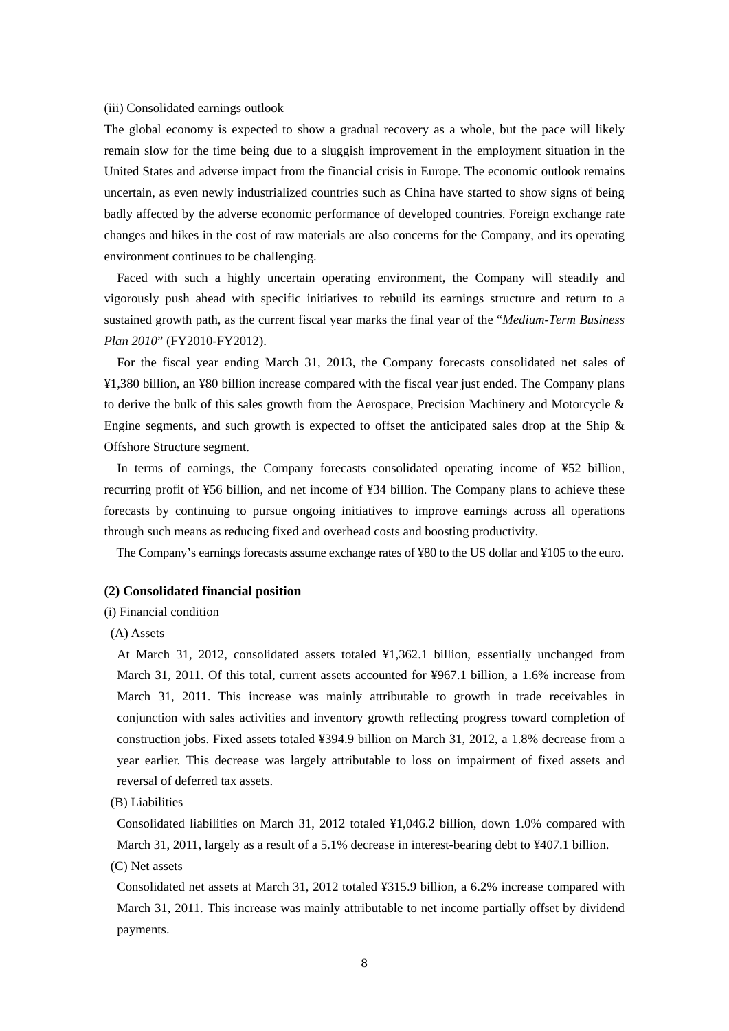#### (iii) Consolidated earnings outlook

The global economy is expected to show a gradual recovery as a whole, but the pace will likely remain slow for the time being due to a sluggish improvement in the employment situation in the United States and adverse impact from the financial crisis in Europe. The economic outlook remains uncertain, as even newly industrialized countries such as China have started to show signs of being badly affected by the adverse economic performance of developed countries. Foreign exchange rate changes and hikes in the cost of raw materials are also concerns for the Company, and its operating environment continues to be challenging.

Faced with such a highly uncertain operating environment, the Company will steadily and vigorously push ahead with specific initiatives to rebuild its earnings structure and return to a sustained growth path, as the current fiscal year marks the final year of the "*Medium-Term Business Plan 2010*" (FY2010-FY2012).

For the fiscal year ending March 31, 2013, the Company forecasts consolidated net sales of ¥1,380 billion, an ¥80 billion increase compared with the fiscal year just ended. The Company plans to derive the bulk of this sales growth from the Aerospace, Precision Machinery and Motorcycle  $\&$ Engine segments, and such growth is expected to offset the anticipated sales drop at the Ship & Offshore Structure segment.

In terms of earnings, the Company forecasts consolidated operating income of ¥52 billion, recurring profit of ¥56 billion, and net income of ¥34 billion. The Company plans to achieve these forecasts by continuing to pursue ongoing initiatives to improve earnings across all operations through such means as reducing fixed and overhead costs and boosting productivity.

The Company's earnings forecasts assume exchange rates of ¥80 to the US dollar and ¥105 to the euro.

#### **(2) Consolidated financial position**

(i) Financial condition

#### (A) Assets

At March 31, 2012, consolidated assets totaled ¥1,362.1 billion, essentially unchanged from March 31, 2011. Of this total, current assets accounted for ¥967.1 billion, a 1.6% increase from March 31, 2011. This increase was mainly attributable to growth in trade receivables in conjunction with sales activities and inventory growth reflecting progress toward completion of construction jobs. Fixed assets totaled ¥394.9 billion on March 31, 2012, a 1.8% decrease from a year earlier. This decrease was largely attributable to loss on impairment of fixed assets and reversal of deferred tax assets.

(B) Liabilities

Consolidated liabilities on March 31, 2012 totaled ¥1,046.2 billion, down 1.0% compared with March 31, 2011, largely as a result of a 5.1% decrease in interest-bearing debt to ¥407.1 billion. (C) Net assets

Consolidated net assets at March 31, 2012 totaled ¥315.9 billion, a 6.2% increase compared with March 31, 2011. This increase was mainly attributable to net income partially offset by dividend payments.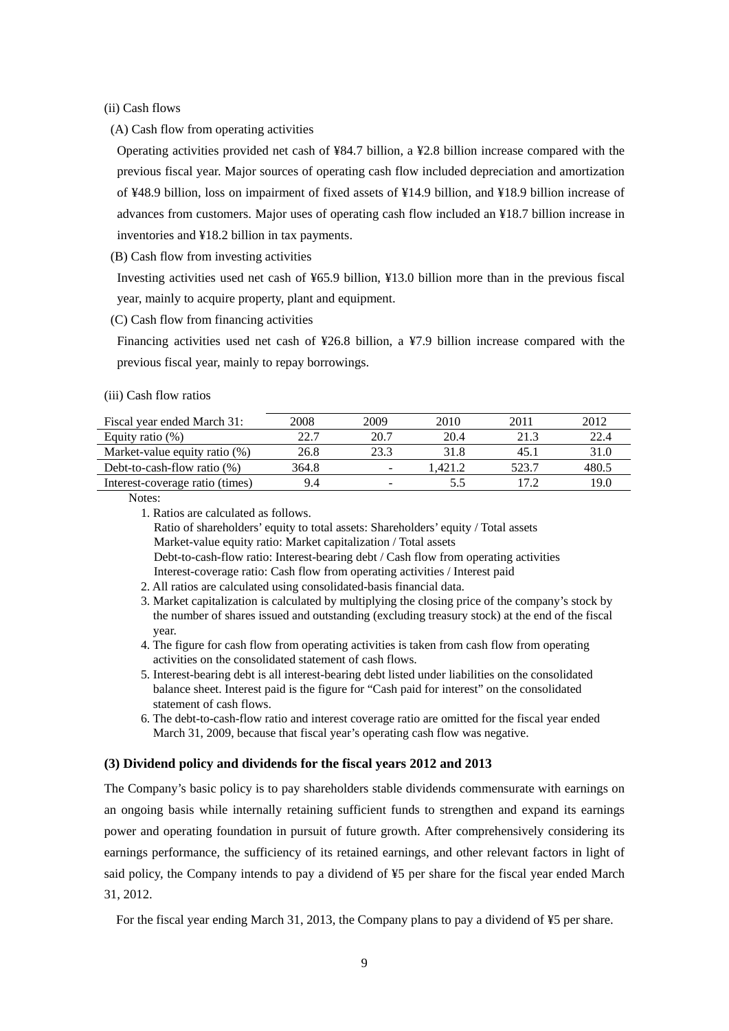(ii) Cash flows

(A) Cash flow from operating activities

Operating activities provided net cash of ¥84.7 billion, a ¥2.8 billion increase compared with the previous fiscal year. Major sources of operating cash flow included depreciation and amortization of ¥48.9 billion, loss on impairment of fixed assets of ¥14.9 billion, and ¥18.9 billion increase of advances from customers. Major uses of operating cash flow included an ¥18.7 billion increase in inventories and ¥18.2 billion in tax payments.

(B) Cash flow from investing activities

Investing activities used net cash of ¥65.9 billion, ¥13.0 billion more than in the previous fiscal year, mainly to acquire property, plant and equipment.

(C) Cash flow from financing activities

Financing activities used net cash of ¥26.8 billion, a ¥7.9 billion increase compared with the previous fiscal year, mainly to repay borrowings.

#### (iii) Cash flow ratios

| Fiscal year ended March 31:     | 2008  | 2009 | 2010    | 2011  | 2012  |
|---------------------------------|-------|------|---------|-------|-------|
| Equity ratio $(\%)$             | 22.7  | 20.7 | 20.4    | 21.3  | 22.4  |
| Market-value equity ratio (%)   | 26.8  | 23.3 | 31.8    | 45.1  | 31.0  |
| Debt-to-cash-flow ratio $(\%)$  | 364.8 |      | 1.421.2 | 523.7 | 480.5 |
| Interest-coverage ratio (times) | 9.4   |      | 5.5     |       | 19.0  |

Notes:

1. Ratios are calculated as follows.

Ratio of shareholders' equity to total assets: Shareholders' equity / Total assets Market-value equity ratio: Market capitalization / Total assets Debt-to-cash-flow ratio: Interest-bearing debt / Cash flow from operating activities Interest-coverage ratio: Cash flow from operating activities / Interest paid

- 2. All ratios are calculated using consolidated-basis financial data.
- 3. Market capitalization is calculated by multiplying the closing price of the company's stock by the number of shares issued and outstanding (excluding treasury stock) at the end of the fiscal year.
- 4. The figure for cash flow from operating activities is taken from cash flow from operating activities on the consolidated statement of cash flows.
- 5. Interest-bearing debt is all interest-bearing debt listed under liabilities on the consolidated balance sheet. Interest paid is the figure for "Cash paid for interest" on the consolidated statement of cash flows.
- 6. The debt-to-cash-flow ratio and interest coverage ratio are omitted for the fiscal year ended March 31, 2009, because that fiscal year's operating cash flow was negative.

#### **(3) Dividend policy and dividends for the fiscal years 2012 and 2013**

The Company's basic policy is to pay shareholders stable dividends commensurate with earnings on an ongoing basis while internally retaining sufficient funds to strengthen and expand its earnings power and operating foundation in pursuit of future growth. After comprehensively considering its earnings performance, the sufficiency of its retained earnings, and other relevant factors in light of said policy, the Company intends to pay a dividend of ¥5 per share for the fiscal year ended March 31, 2012.

For the fiscal year ending March 31, 2013, the Company plans to pay a dividend of ¥5 per share.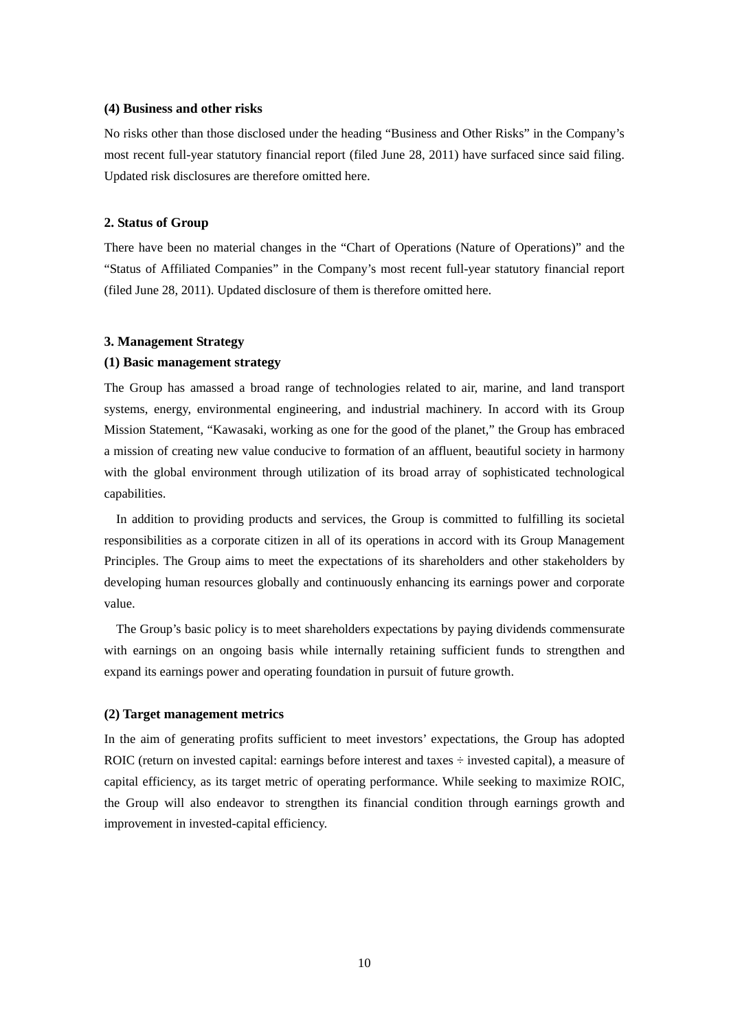#### **(4) Business and other risks**

No risks other than those disclosed under the heading "Business and Other Risks" in the Company's most recent full-year statutory financial report (filed June 28, 2011) have surfaced since said filing. Updated risk disclosures are therefore omitted here.

## **2. Status of Group**

There have been no material changes in the "Chart of Operations (Nature of Operations)" and the "Status of Affiliated Companies" in the Company's most recent full-year statutory financial report (filed June 28, 2011). Updated disclosure of them is therefore omitted here.

## **3. Management Strategy**

#### **(1) Basic management strategy**

The Group has amassed a broad range of technologies related to air, marine, and land transport systems, energy, environmental engineering, and industrial machinery. In accord with its Group Mission Statement, "Kawasaki, working as one for the good of the planet," the Group has embraced a mission of creating new value conducive to formation of an affluent, beautiful society in harmony with the global environment through utilization of its broad array of sophisticated technological capabilities.

In addition to providing products and services, the Group is committed to fulfilling its societal responsibilities as a corporate citizen in all of its operations in accord with its Group Management Principles. The Group aims to meet the expectations of its shareholders and other stakeholders by developing human resources globally and continuously enhancing its earnings power and corporate value.

The Group's basic policy is to meet shareholders expectations by paying dividends commensurate with earnings on an ongoing basis while internally retaining sufficient funds to strengthen and expand its earnings power and operating foundation in pursuit of future growth.

#### **(2) Target management metrics**

In the aim of generating profits sufficient to meet investors' expectations, the Group has adopted ROIC (return on invested capital: earnings before interest and taxes  $\div$  invested capital), a measure of capital efficiency, as its target metric of operating performance. While seeking to maximize ROIC, the Group will also endeavor to strengthen its financial condition through earnings growth and improvement in invested-capital efficiency.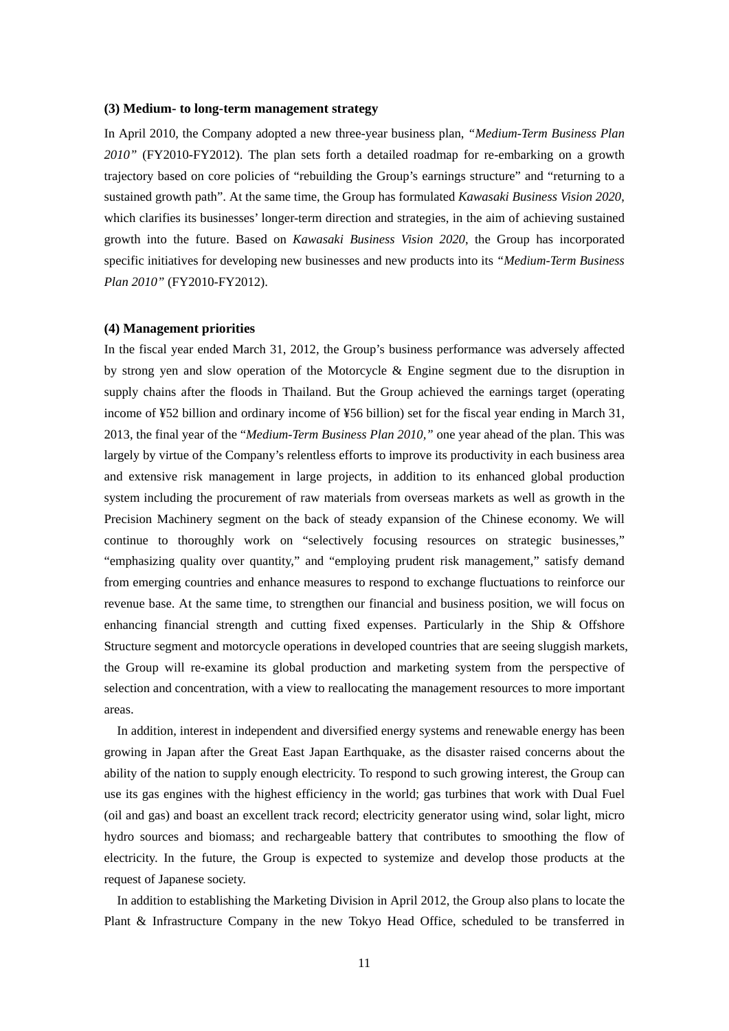#### **(3) Medium- to long-term management strategy**

In April 2010, the Company adopted a new three-year business plan, *"Medium-Term Business Plan 2010"* (FY2010-FY2012). The plan sets forth a detailed roadmap for re-embarking on a growth trajectory based on core policies of "rebuilding the Group's earnings structure" and "returning to a sustained growth path". At the same time, the Group has formulated *Kawasaki Business Vision 2020*, which clarifies its businesses' longer-term direction and strategies, in the aim of achieving sustained growth into the future. Based on *Kawasaki Business Vision 2020*, the Group has incorporated specific initiatives for developing new businesses and new products into its *"Medium-Term Business Plan 2010"* (FY2010-FY2012).

#### **(4) Management priorities**

In the fiscal year ended March 31, 2012, the Group's business performance was adversely affected by strong yen and slow operation of the Motorcycle & Engine segment due to the disruption in supply chains after the floods in Thailand. But the Group achieved the earnings target (operating income of ¥52 billion and ordinary income of ¥56 billion) set for the fiscal year ending in March 31, 2013, the final year of the "*Medium-Term Business Plan 2010,"* one year ahead of the plan. This was largely by virtue of the Company's relentless efforts to improve its productivity in each business area and extensive risk management in large projects, in addition to its enhanced global production system including the procurement of raw materials from overseas markets as well as growth in the Precision Machinery segment on the back of steady expansion of the Chinese economy. We will continue to thoroughly work on "selectively focusing resources on strategic businesses," "emphasizing quality over quantity," and "employing prudent risk management," satisfy demand from emerging countries and enhance measures to respond to exchange fluctuations to reinforce our revenue base. At the same time, to strengthen our financial and business position, we will focus on enhancing financial strength and cutting fixed expenses. Particularly in the Ship & Offshore Structure segment and motorcycle operations in developed countries that are seeing sluggish markets, the Group will re-examine its global production and marketing system from the perspective of selection and concentration, with a view to reallocating the management resources to more important areas.

In addition, interest in independent and diversified energy systems and renewable energy has been growing in Japan after the Great East Japan Earthquake, as the disaster raised concerns about the ability of the nation to supply enough electricity. To respond to such growing interest, the Group can use its gas engines with the highest efficiency in the world; gas turbines that work with Dual Fuel (oil and gas) and boast an excellent track record; electricity generator using wind, solar light, micro hydro sources and biomass; and rechargeable battery that contributes to smoothing the flow of electricity. In the future, the Group is expected to systemize and develop those products at the request of Japanese society.

In addition to establishing the Marketing Division in April 2012, the Group also plans to locate the Plant & Infrastructure Company in the new Tokyo Head Office, scheduled to be transferred in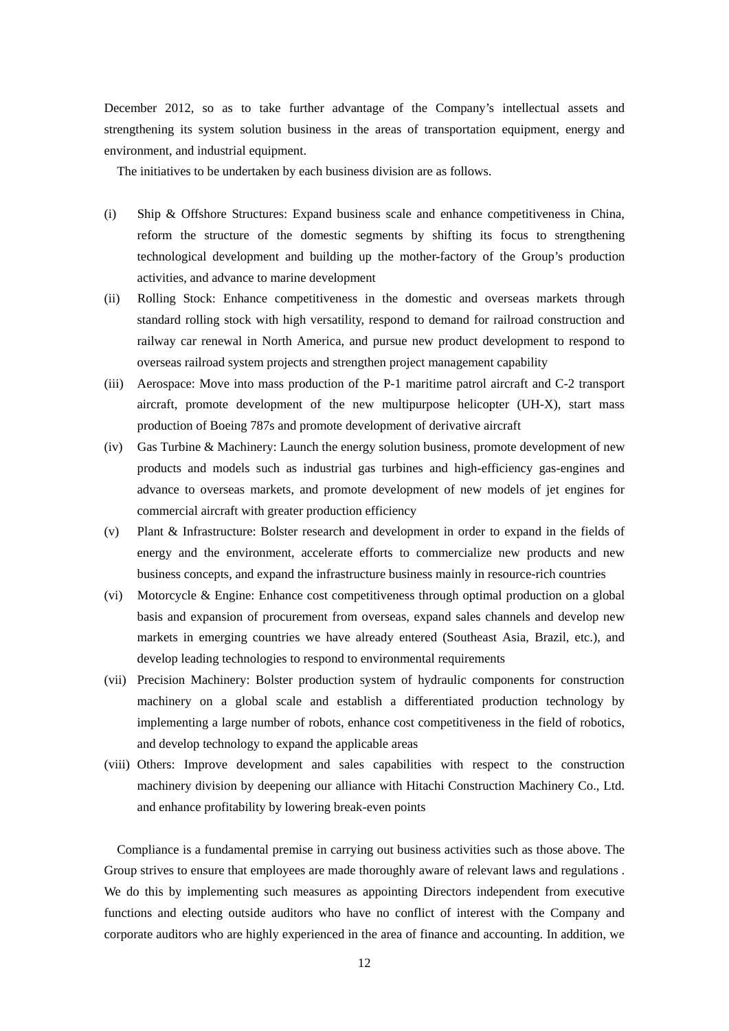December 2012, so as to take further advantage of the Company's intellectual assets and strengthening its system solution business in the areas of transportation equipment, energy and environment, and industrial equipment.

The initiatives to be undertaken by each business division are as follows.

- (i) Ship & Offshore Structures: Expand business scale and enhance competitiveness in China, reform the structure of the domestic segments by shifting its focus to strengthening technological development and building up the mother-factory of the Group's production activities, and advance to marine development
- (ii) Rolling Stock: Enhance competitiveness in the domestic and overseas markets through standard rolling stock with high versatility, respond to demand for railroad construction and railway car renewal in North America, and pursue new product development to respond to overseas railroad system projects and strengthen project management capability
- (iii) Aerospace: Move into mass production of the P-1 maritime patrol aircraft and C-2 transport aircraft, promote development of the new multipurpose helicopter (UH-X), start mass production of Boeing 787s and promote development of derivative aircraft
- (iv) Gas Turbine & Machinery: Launch the energy solution business, promote development of new products and models such as industrial gas turbines and high-efficiency gas-engines and advance to overseas markets, and promote development of new models of jet engines for commercial aircraft with greater production efficiency
- (v) Plant & Infrastructure: Bolster research and development in order to expand in the fields of energy and the environment, accelerate efforts to commercialize new products and new business concepts, and expand the infrastructure business mainly in resource-rich countries
- (vi) Motorcycle & Engine: Enhance cost competitiveness through optimal production on a global basis and expansion of procurement from overseas, expand sales channels and develop new markets in emerging countries we have already entered (Southeast Asia, Brazil, etc.), and develop leading technologies to respond to environmental requirements
- (vii) Precision Machinery: Bolster production system of hydraulic components for construction machinery on a global scale and establish a differentiated production technology by implementing a large number of robots, enhance cost competitiveness in the field of robotics, and develop technology to expand the applicable areas
- (viii) Others: Improve development and sales capabilities with respect to the construction machinery division by deepening our alliance with Hitachi Construction Machinery Co., Ltd. and enhance profitability by lowering break-even points

Compliance is a fundamental premise in carrying out business activities such as those above. The Group strives to ensure that employees are made thoroughly aware of relevant laws and regulations . We do this by implementing such measures as appointing Directors independent from executive functions and electing outside auditors who have no conflict of interest with the Company and corporate auditors who are highly experienced in the area of finance and accounting. In addition, we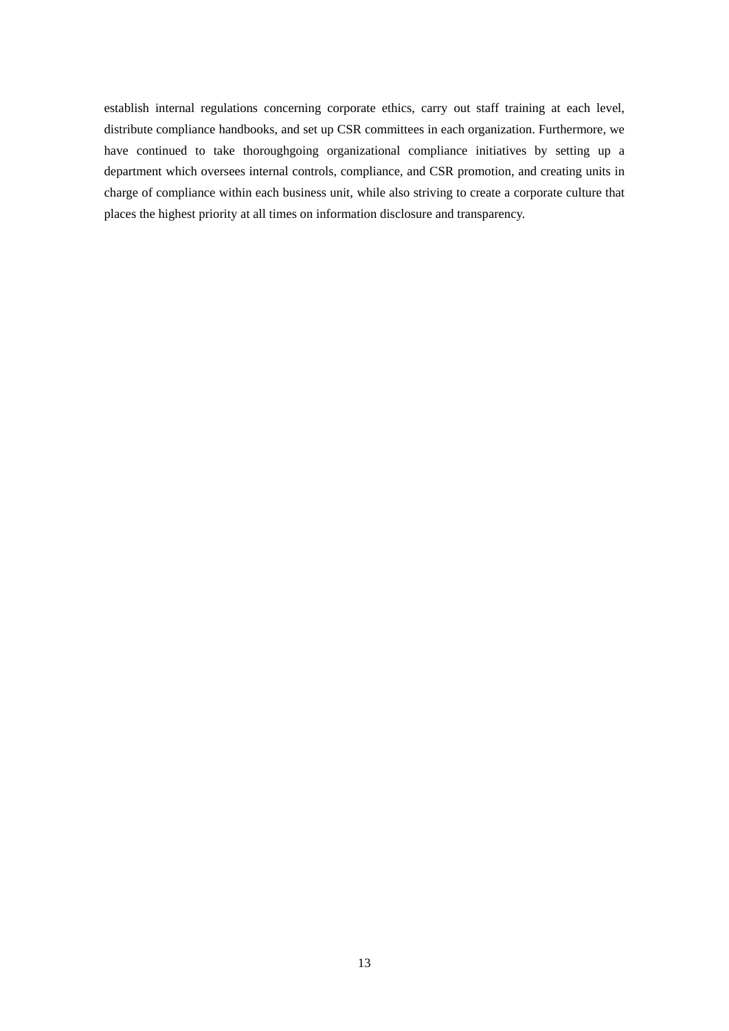establish internal regulations concerning corporate ethics, carry out staff training at each level, distribute compliance handbooks, and set up CSR committees in each organization. Furthermore, we have continued to take thoroughgoing organizational compliance initiatives by setting up a department which oversees internal controls, compliance, and CSR promotion, and creating units in charge of compliance within each business unit, while also striving to create a corporate culture that places the highest priority at all times on information disclosure and transparency.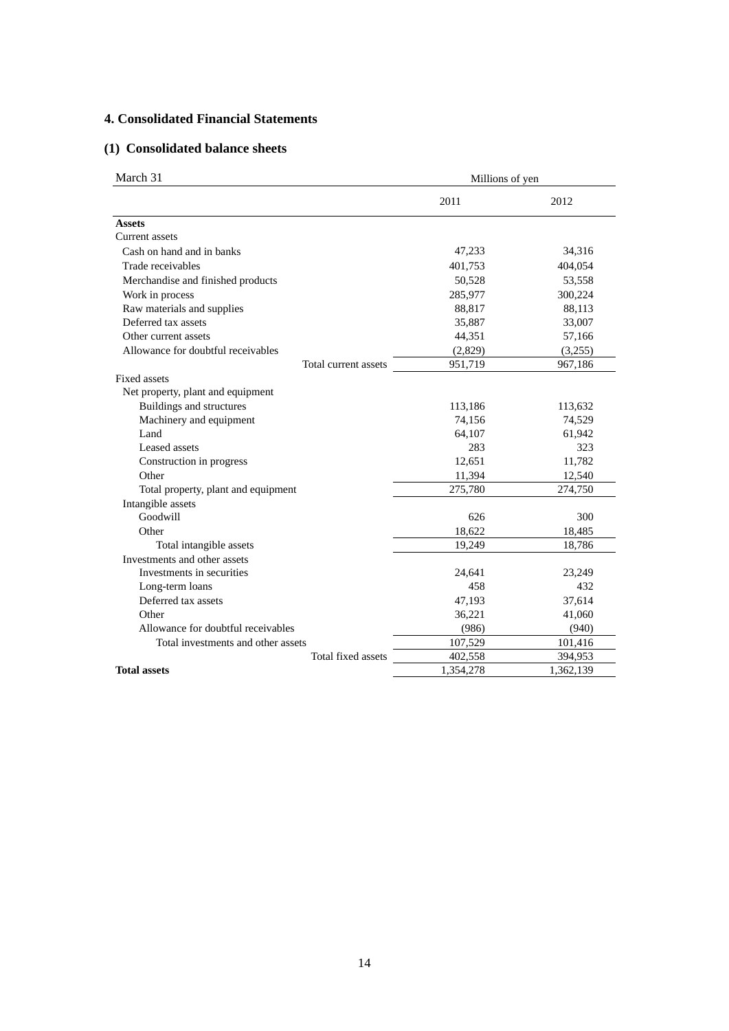# **4. Consolidated Financial Statements**

## **(1) Consolidated balance sheets**

| March 31                            | Millions of yen |           |
|-------------------------------------|-----------------|-----------|
|                                     | 2011            | 2012      |
| <b>Assets</b>                       |                 |           |
| Current assets                      |                 |           |
| Cash on hand and in banks           | 47,233          | 34,316    |
| Trade receivables                   | 401,753         | 404,054   |
| Merchandise and finished products   | 50,528          | 53,558    |
| Work in process                     | 285,977         | 300,224   |
| Raw materials and supplies          | 88,817          | 88,113    |
| Deferred tax assets                 | 35,887          | 33,007    |
| Other current assets                | 44,351          | 57,166    |
| Allowance for doubtful receivables  | (2,829)         | (3,255)   |
| Total current assets                | 951,719         | 967,186   |
| <b>Fixed assets</b>                 |                 |           |
| Net property, plant and equipment   |                 |           |
| <b>Buildings and structures</b>     | 113,186         | 113,632   |
| Machinery and equipment             | 74,156          | 74,529    |
| Land                                | 64,107          | 61,942    |
| Leased assets                       | 283             | 323       |
| Construction in progress            | 12,651          | 11,782    |
| Other                               | 11,394          | 12,540    |
| Total property, plant and equipment | 275,780         | 274,750   |
| Intangible assets                   |                 |           |
| Goodwill                            | 626             | 300       |
| Other                               | 18,622          | 18,485    |
| Total intangible assets             | 19,249          | 18,786    |
| Investments and other assets        |                 |           |
| Investments in securities           | 24,641          | 23,249    |
| Long-term loans                     | 458             | 432       |
| Deferred tax assets                 | 47,193          | 37,614    |
| Other                               | 36,221          | 41,060    |
| Allowance for doubtful receivables  | (986)           | (940)     |
| Total investments and other assets  | 107,529         | 101,416   |
| Total fixed assets                  | 402,558         | 394,953   |
| <b>Total assets</b>                 | 1,354,278       | 1,362,139 |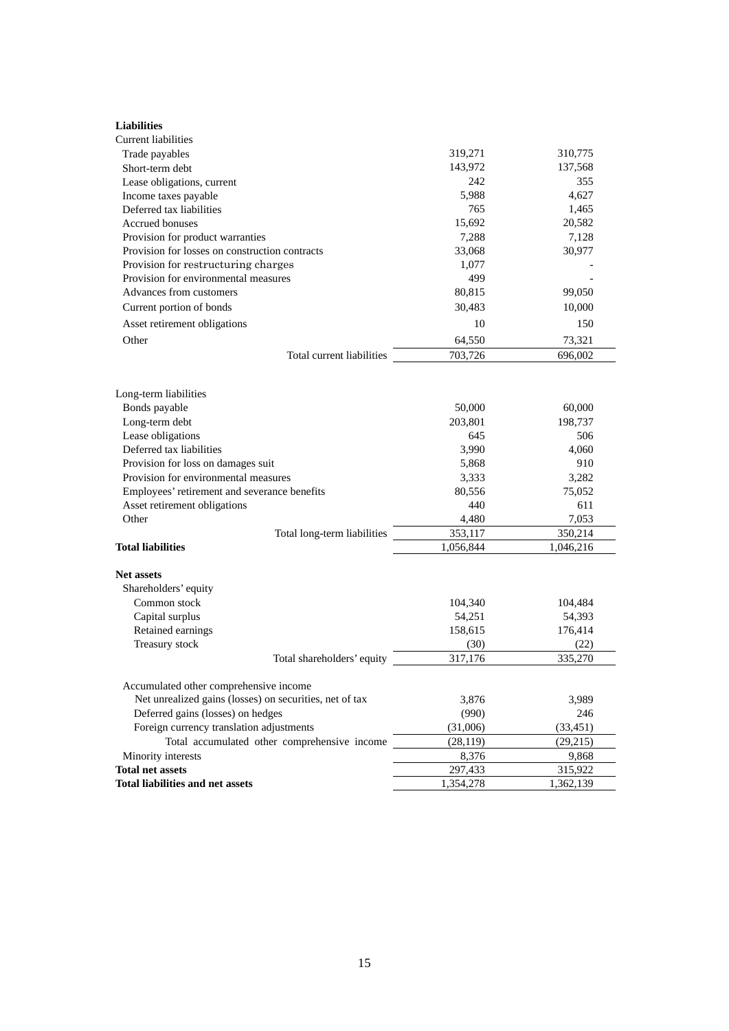| <b>Liabilities</b>                                      |                 |                 |
|---------------------------------------------------------|-----------------|-----------------|
| <b>Current liabilities</b>                              |                 |                 |
| Trade payables                                          | 319,271         | 310,775         |
| Short-term debt                                         | 143,972         | 137,568         |
| Lease obligations, current                              | 242             | 355             |
| Income taxes payable                                    | 5,988           | 4,627           |
| Deferred tax liabilities                                | 765             | 1,465           |
| <b>Accrued bonuses</b>                                  | 15,692          | 20,582          |
| Provision for product warranties                        | 7,288           | 7,128           |
| Provision for losses on construction contracts          | 33,068          | 30,977          |
| Provision for restructuring charges                     | 1,077           |                 |
| Provision for environmental measures                    | 499             |                 |
| Advances from customers                                 | 80,815          | 99,050          |
| Current portion of bonds                                | 30,483          | 10,000          |
| Asset retirement obligations                            | 10              | 150             |
| Other                                                   | 64,550          | 73,321          |
| Total current liabilities                               | 703,726         | 696,002         |
|                                                         |                 |                 |
| Long-term liabilities                                   |                 |                 |
| Bonds payable                                           | 50,000          | 60,000          |
| Long-term debt                                          | 203,801         | 198,737         |
| Lease obligations                                       | 645             | 506             |
| Deferred tax liabilities                                | 3,990           | 4,060           |
| Provision for loss on damages suit                      | 5,868           | 910             |
| Provision for environmental measures                    | 3,333           | 3,282           |
| Employees' retirement and severance benefits            | 80,556          | 75,052          |
| Asset retirement obligations                            | 440             | 611             |
| Other                                                   | 4,480           | 7,053           |
| Total long-term liabilities                             | 353,117         | 350,214         |
| <b>Total liabilities</b>                                | 1,056,844       | 1,046,216       |
|                                                         |                 |                 |
| <b>Net assets</b>                                       |                 |                 |
| Shareholders' equity                                    |                 |                 |
| Common stock                                            | 104,340         | 104,484         |
| Capital surplus                                         | 54,251          | 54,393          |
| Retained earnings                                       | 158,615         | 176,414         |
| Treasury stock<br>Total shareholders' equity            | (30)<br>317,176 | (22)<br>335,270 |
|                                                         |                 |                 |
| Accumulated other comprehensive income                  |                 |                 |
| Net unrealized gains (losses) on securities, net of tax | 3,876           | 3,989           |
| Deferred gains (losses) on hedges                       | (990)           | 246             |
| Foreign currency translation adjustments                | (31,006)        | (33, 451)       |
| Total accumulated other comprehensive income            | (28, 119)       | (29,215)        |
| Minority interests                                      | 8,376           | 9,868           |
| <b>Total net assets</b>                                 | 297,433         | 315,922         |
| <b>Total liabilities and net assets</b>                 | 1,354,278       | 1,362,139       |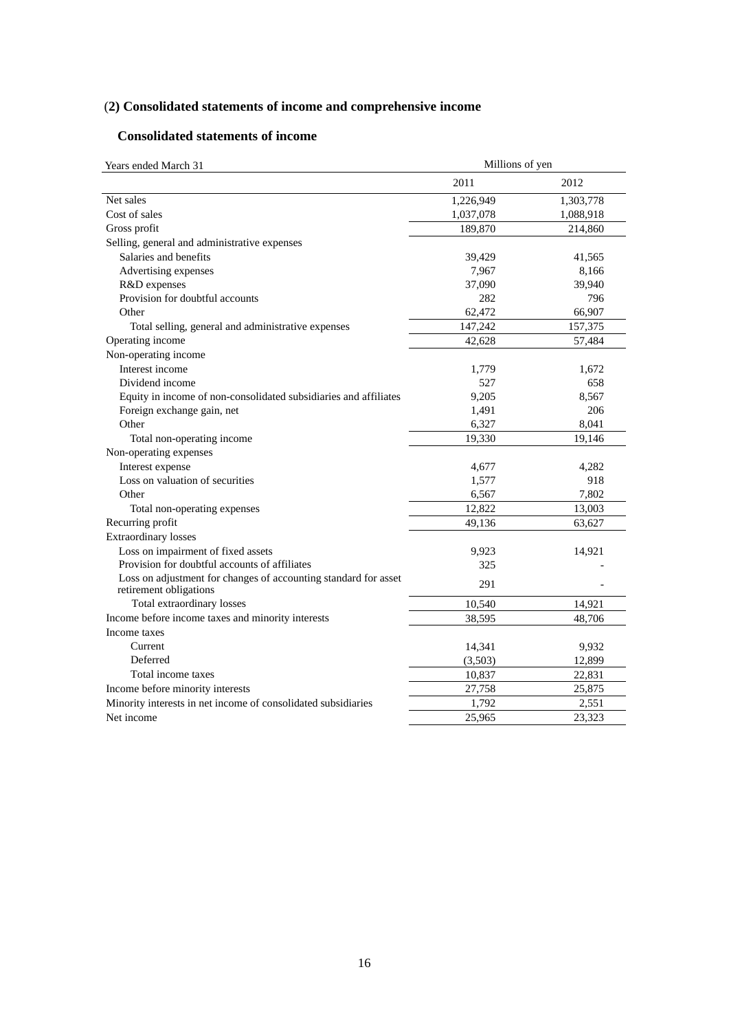# (**2) Consolidated statements of income and comprehensive income**

# **Consolidated statements of income**

| Years ended March 31                                                                      | Millions of yen |           |
|-------------------------------------------------------------------------------------------|-----------------|-----------|
|                                                                                           | 2011            | 2012      |
| Net sales                                                                                 | 1,226,949       | 1,303,778 |
| Cost of sales                                                                             | 1,037,078       | 1,088,918 |
| Gross profit                                                                              | 189,870         | 214,860   |
| Selling, general and administrative expenses                                              |                 |           |
| Salaries and benefits                                                                     | 39,429          | 41,565    |
| Advertising expenses                                                                      | 7,967           | 8,166     |
| R&D expenses                                                                              | 37,090          | 39,940    |
| Provision for doubtful accounts                                                           | 282             | 796       |
| Other                                                                                     | 62,472          | 66,907    |
| Total selling, general and administrative expenses                                        | 147,242         | 157,375   |
| Operating income                                                                          | 42,628          | 57,484    |
| Non-operating income                                                                      |                 |           |
| Interest income                                                                           | 1,779           | 1,672     |
| Dividend income                                                                           | 527             | 658       |
| Equity in income of non-consolidated subsidiaries and affiliates                          | 9,205           | 8,567     |
| Foreign exchange gain, net                                                                | 1,491           | 206       |
| Other                                                                                     | 6,327           | 8,041     |
| Total non-operating income                                                                | 19,330          | 19,146    |
| Non-operating expenses                                                                    |                 |           |
| Interest expense                                                                          | 4,677           | 4,282     |
| Loss on valuation of securities                                                           | 1,577           | 918       |
| Other                                                                                     | 6,567           | 7,802     |
| Total non-operating expenses                                                              | 12,822          | 13,003    |
| Recurring profit                                                                          | 49,136          | 63,627    |
| <b>Extraordinary</b> losses                                                               |                 |           |
| Loss on impairment of fixed assets                                                        | 9,923           | 14,921    |
| Provision for doubtful accounts of affiliates                                             | 325             |           |
| Loss on adjustment for changes of accounting standard for asset<br>retirement obligations | 291             |           |
| Total extraordinary losses                                                                | 10,540          | 14,921    |
| Income before income taxes and minority interests                                         | 38,595          | 48,706    |
| Income taxes                                                                              |                 |           |
| Current                                                                                   | 14,341          | 9,932     |
| Deferred                                                                                  | (3,503)         | 12,899    |
| Total income taxes                                                                        | 10,837          | 22,831    |
| Income before minority interests                                                          | 27,758          | 25,875    |
| Minority interests in net income of consolidated subsidiaries                             | 1,792           | 2,551     |
| Net income                                                                                | 25.965          | 23,323    |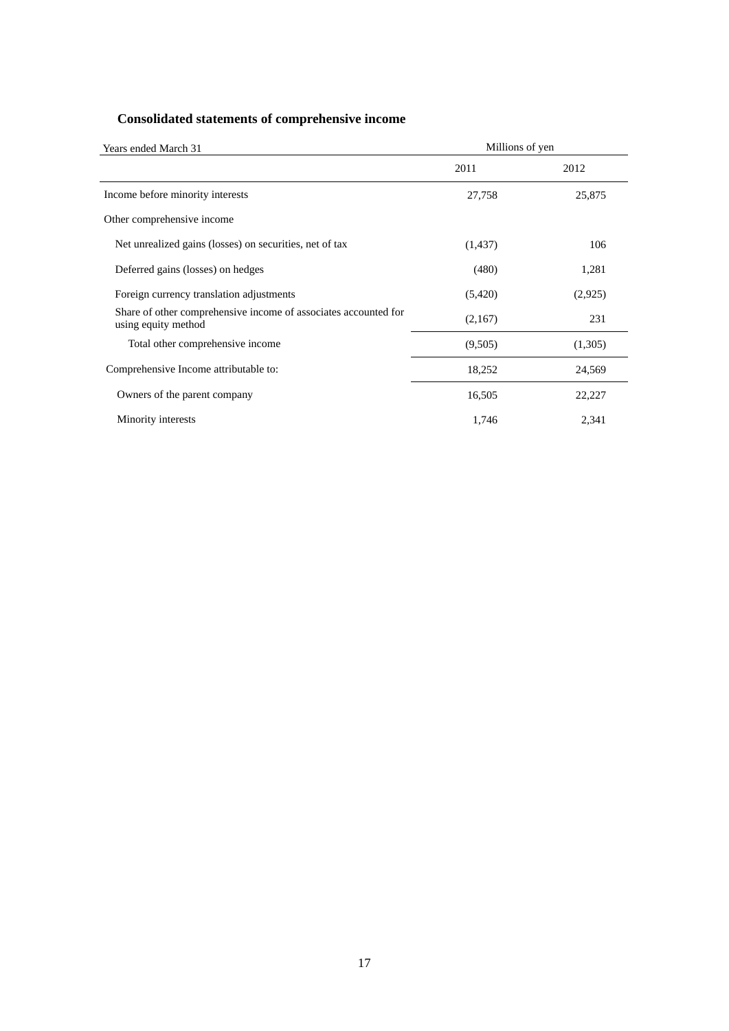# **Consolidated statements of comprehensive income**

| Years ended March 31                                                                   | Millions of yen |         |
|----------------------------------------------------------------------------------------|-----------------|---------|
|                                                                                        | 2011            | 2012    |
| Income before minority interests                                                       | 27,758          | 25,875  |
| Other comprehensive income                                                             |                 |         |
| Net unrealized gains (losses) on securities, net of tax                                | (1,437)         | 106     |
| Deferred gains (losses) on hedges                                                      | (480)           | 1,281   |
| Foreign currency translation adjustments                                               | (5,420)         | (2,925) |
| Share of other comprehensive income of associates accounted for<br>using equity method | (2,167)         | 231     |
| Total other comprehensive income                                                       | (9,505)         | (1,305) |
| Comprehensive Income attributable to:                                                  | 18,252          | 24,569  |
| Owners of the parent company                                                           | 16,505          | 22,227  |
| Minority interests                                                                     | 1,746           | 2,341   |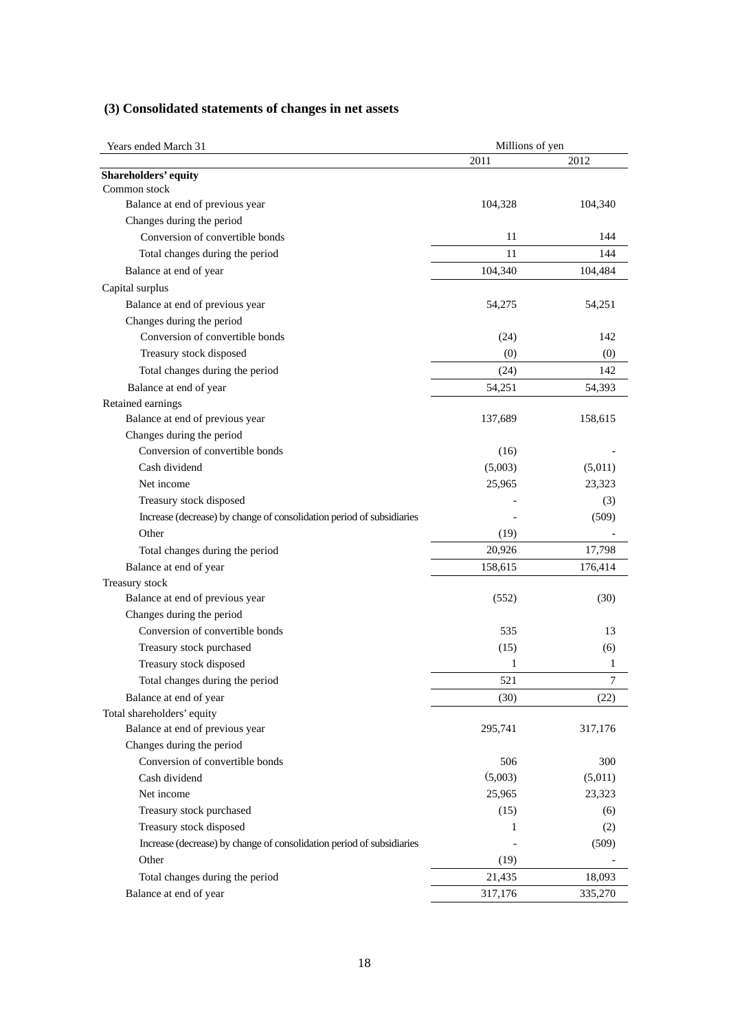|  | (3) Consolidated statements of changes in net assets |  |  |  |  |  |
|--|------------------------------------------------------|--|--|--|--|--|
|--|------------------------------------------------------|--|--|--|--|--|

| Years ended March 31                                                  | Millions of yen |         |
|-----------------------------------------------------------------------|-----------------|---------|
|                                                                       | 2011            | 2012    |
| <b>Shareholders' equity</b>                                           |                 |         |
| Common stock                                                          |                 |         |
| Balance at end of previous year                                       | 104,328         | 104,340 |
| Changes during the period                                             |                 |         |
| Conversion of convertible bonds                                       | 11              | 144     |
| Total changes during the period                                       | 11              | 144     |
| Balance at end of year                                                | 104,340         | 104,484 |
| Capital surplus                                                       |                 |         |
| Balance at end of previous year                                       | 54,275          | 54,251  |
| Changes during the period                                             |                 |         |
| Conversion of convertible bonds                                       | (24)            | 142     |
| Treasury stock disposed                                               | (0)             | (0)     |
| Total changes during the period                                       | (24)            | 142     |
| Balance at end of year                                                | 54,251          | 54,393  |
| Retained earnings                                                     |                 |         |
| Balance at end of previous year                                       | 137,689         | 158,615 |
| Changes during the period                                             |                 |         |
| Conversion of convertible bonds                                       | (16)            |         |
| Cash dividend                                                         | (5,003)         | (5,011) |
| Net income                                                            | 25,965          | 23,323  |
| Treasury stock disposed                                               |                 | (3)     |
| Increase (decrease) by change of consolidation period of subsidiaries |                 | (509)   |
| Other                                                                 | (19)            |         |
| Total changes during the period                                       | 20,926          | 17,798  |
| Balance at end of year                                                | 158,615         | 176,414 |
| Treasury stock                                                        |                 |         |
| Balance at end of previous year                                       | (552)           | (30)    |
| Changes during the period                                             |                 |         |
| Conversion of convertible bonds                                       | 535             | 13      |
| Treasury stock purchased                                              | (15)            | (6)     |
| Treasury stock disposed                                               | 1               | 1       |
| Total changes during the period                                       | 521             | 7       |
| Balance at end of year                                                | (30)            | (22)    |
| Total shareholders' equity                                            |                 |         |
| Balance at end of previous year                                       | 295,741         | 317,176 |
| Changes during the period                                             |                 |         |
| Conversion of convertible bonds                                       | 506             | 300     |
| Cash dividend                                                         | (5,003)         | (5,011) |
| Net income                                                            | 25,965          | 23,323  |
| Treasury stock purchased                                              | (15)            | (6)     |
| Treasury stock disposed                                               | 1               | (2)     |
| Increase (decrease) by change of consolidation period of subsidiaries |                 | (509)   |
| Other                                                                 | (19)            |         |
|                                                                       |                 |         |
| Total changes during the period                                       | 21,435          | 18,093  |
| Balance at end of year                                                | 317,176         | 335,270 |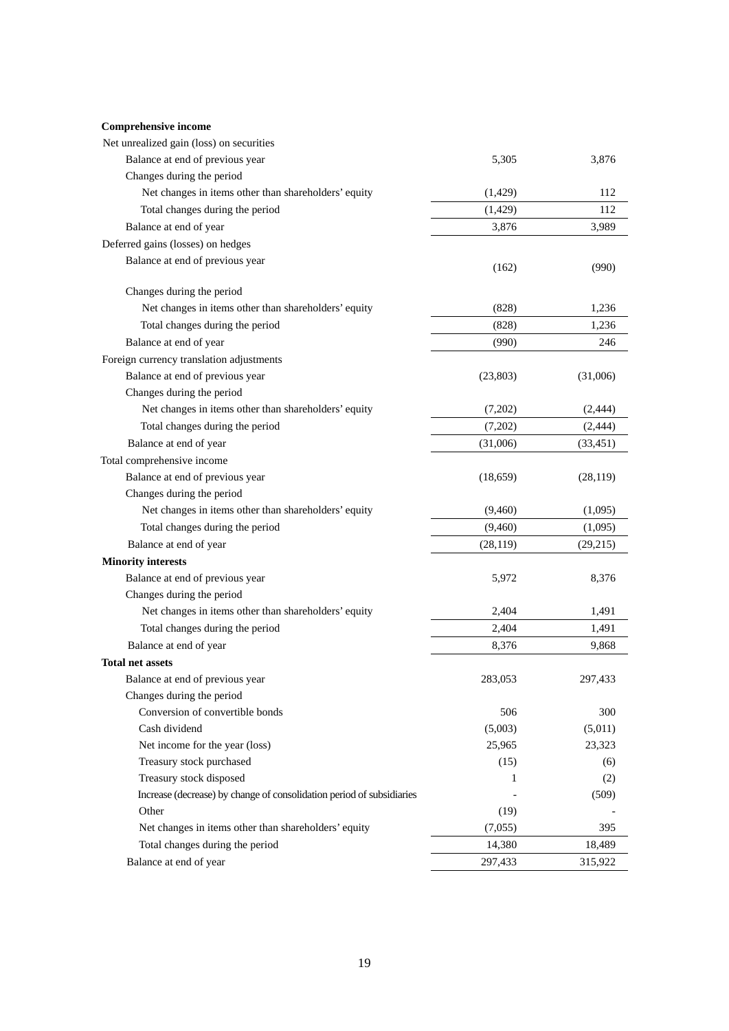### **Comprehensive income**

| Comprehensive income                                                  |           |           |
|-----------------------------------------------------------------------|-----------|-----------|
| Net unrealized gain (loss) on securities                              |           |           |
| Balance at end of previous year                                       | 5,305     | 3,876     |
| Changes during the period                                             |           |           |
| Net changes in items other than shareholders' equity                  | (1,429)   | 112       |
| Total changes during the period                                       | (1,429)   | 112       |
| Balance at end of year                                                | 3,876     | 3,989     |
| Deferred gains (losses) on hedges                                     |           |           |
| Balance at end of previous year                                       | (162)     | (990)     |
| Changes during the period                                             |           |           |
| Net changes in items other than shareholders' equity                  | (828)     | 1,236     |
| Total changes during the period                                       | (828)     | 1,236     |
| Balance at end of year                                                | (990)     | 246       |
| Foreign currency translation adjustments                              |           |           |
| Balance at end of previous year                                       | (23,803)  | (31,006)  |
| Changes during the period                                             |           |           |
| Net changes in items other than shareholders' equity                  | (7,202)   | (2, 444)  |
| Total changes during the period                                       | (7,202)   | (2, 444)  |
| Balance at end of year                                                | (31,006)  | (33, 451) |
| Total comprehensive income                                            |           |           |
| Balance at end of previous year                                       | (18, 659) | (28, 119) |
| Changes during the period                                             |           |           |
| Net changes in items other than shareholders' equity                  | (9,460)   | (1,095)   |
| Total changes during the period                                       | (9,460)   | (1,095)   |
| Balance at end of year                                                | (28, 119) | (29, 215) |
| <b>Minority interests</b>                                             |           |           |
| Balance at end of previous year                                       | 5,972     | 8,376     |
| Changes during the period                                             |           |           |
| Net changes in items other than shareholders' equity                  | 2,404     | 1,491     |
| Total changes during the period                                       | 2,404     | 1,491     |
| Balance at end of year                                                | 8,376     | 9,868     |
| Total net assets                                                      |           |           |
| Balance at end of previous year                                       | 283,053   | 297,433   |
| Changes during the period                                             |           |           |
| Conversion of convertible bonds                                       | 506       | 300       |
| Cash dividend                                                         | (5,003)   | (5,011)   |
| Net income for the year (loss)                                        | 25,965    | 23,323    |
| Treasury stock purchased                                              | (15)      | (6)       |
| Treasury stock disposed                                               | 1         | (2)       |
| Increase (decrease) by change of consolidation period of subsidiaries |           | (509)     |
| Other                                                                 | (19)      |           |
| Net changes in items other than shareholders' equity                  | (7,055)   | 395       |
| Total changes during the period                                       | 14,380    | 18,489    |
| Balance at end of year                                                | 297,433   | 315,922   |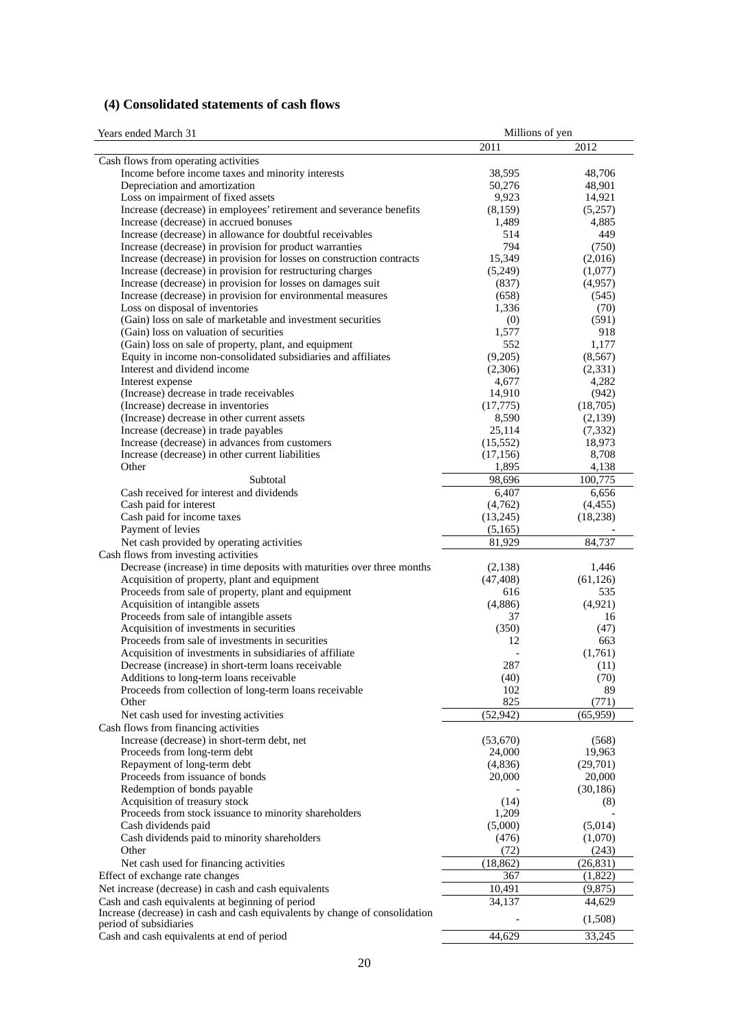# **(4) Consolidated statements of cash flows**

| Years ended March 31 |  |  |  |
|----------------------|--|--|--|
|----------------------|--|--|--|

| Years ended March 31                                                                                           | Millions of yen      |                    |
|----------------------------------------------------------------------------------------------------------------|----------------------|--------------------|
|                                                                                                                | 2011                 | 2012               |
| Cash flows from operating activities                                                                           |                      |                    |
| Income before income taxes and minority interests                                                              | 38,595               | 48,706             |
| Depreciation and amortization                                                                                  | 50,276               | 48,901             |
| Loss on impairment of fixed assets                                                                             | 9,923                | 14,921             |
| Increase (decrease) in employees' retirement and severance benefits                                            | (8,159)              | (5,257)            |
| Increase (decrease) in accrued bonuses                                                                         | 1,489                | 4,885              |
| Increase (decrease) in allowance for doubtful receivables                                                      | 514                  | 449                |
| Increase (decrease) in provision for product warranties                                                        | 794                  | (750)              |
| Increase (decrease) in provision for losses on construction contracts                                          | 15,349               | (2,016)            |
| Increase (decrease) in provision for restructuring charges                                                     | (5,249)              | (1,077)            |
| Increase (decrease) in provision for losses on damages suit                                                    | (837)                | (4,957)            |
| Increase (decrease) in provision for environmental measures<br>Loss on disposal of inventories                 | (658)<br>1,336       | (545)<br>(70)      |
| (Gain) loss on sale of marketable and investment securities                                                    | (0)                  | (591)              |
| (Gain) loss on valuation of securities                                                                         | 1,577                | 918                |
| (Gain) loss on sale of property, plant, and equipment                                                          | 552                  | 1,177              |
| Equity in income non-consolidated subsidiaries and affiliates                                                  | (9,205)              | (8, 567)           |
| Interest and dividend income                                                                                   | (2,306)              | (2,331)            |
| Interest expense                                                                                               | 4,677                | 4,282              |
| (Increase) decrease in trade receivables                                                                       | 14,910               | (942)              |
| (Increase) decrease in inventories                                                                             | (17,775)             | (18,705)           |
| (Increase) decrease in other current assets                                                                    | 8,590                | (2,139)            |
| Increase (decrease) in trade payables                                                                          | 25,114               | (7, 332)           |
| Increase (decrease) in advances from customers                                                                 | (15, 552)            | 18,973             |
| Increase (decrease) in other current liabilities                                                               | (17, 156)            | 8,708              |
| Other                                                                                                          | 1,895                | 4,138              |
| Subtotal                                                                                                       | 98,696               | 100,775            |
| Cash received for interest and dividends                                                                       | 6,407                | 6,656              |
| Cash paid for interest                                                                                         | (4,762)              | (4, 455)           |
| Cash paid for income taxes                                                                                     | (13,245)             | (18, 238)          |
| Payment of levies                                                                                              | (5,165)              |                    |
| Net cash provided by operating activities                                                                      | 81,929               | 84,737             |
| Cash flows from investing activities<br>Decrease (increase) in time deposits with maturities over three months |                      | 1,446              |
| Acquisition of property, plant and equipment                                                                   | (2,138)<br>(47, 408) | (61, 126)          |
| Proceeds from sale of property, plant and equipment                                                            | 616                  | 535                |
| Acquisition of intangible assets                                                                               | (4,886)              | (4,921)            |
| Proceeds from sale of intangible assets                                                                        | 37                   | 16                 |
| Acquisition of investments in securities                                                                       | (350)                | (47)               |
| Proceeds from sale of investments in securities                                                                | 12                   | 663                |
| Acquisition of investments in subsidiaries of affiliate                                                        |                      | (1,761)            |
| Decrease (increase) in short-term loans receivable                                                             | 287                  | (11)               |
| Additions to long-term loans receivable                                                                        | (40)                 | (70)               |
| Proceeds from collection of long-term loans receivable                                                         | 102                  | 89                 |
| Other                                                                                                          | 825                  | (771)              |
| Net cash used for investing activities                                                                         | (52, 942)            | (65,959)           |
| Cash flows from financing activities                                                                           |                      |                    |
| Increase (decrease) in short-term debt, net                                                                    | (53,670)             | (568)              |
| Proceeds from long-term debt                                                                                   | 24,000               | 19,963             |
| Repayment of long-term debt<br>Proceeds from issuance of bonds                                                 | (4,836)              | (29,701)<br>20,000 |
| Redemption of bonds payable                                                                                    | 20,000               |                    |
| Acquisition of treasury stock                                                                                  | (14)                 | (30, 186)<br>(8)   |
| Proceeds from stock issuance to minority shareholders                                                          | 1,209                |                    |
| Cash dividends paid                                                                                            | (5,000)              | (5,014)            |
| Cash dividends paid to minority shareholders                                                                   | (476)                | (1,070)            |
| Other                                                                                                          | (72)                 | (243)              |
| Net cash used for financing activities                                                                         | (18, 862)            | (26, 831)          |
| Effect of exchange rate changes                                                                                | 367                  | (1,822)            |
| Net increase (decrease) in cash and cash equivalents                                                           | 10,491               | (9,875)            |
| Cash and cash equivalents at beginning of period                                                               | 34,137               | 44,629             |
| Increase (decrease) in cash and cash equivalents by change of consolidation                                    |                      |                    |
| period of subsidiaries                                                                                         |                      | (1,508)            |
| Cash and cash equivalents at end of period                                                                     | 44,629               | 33,245             |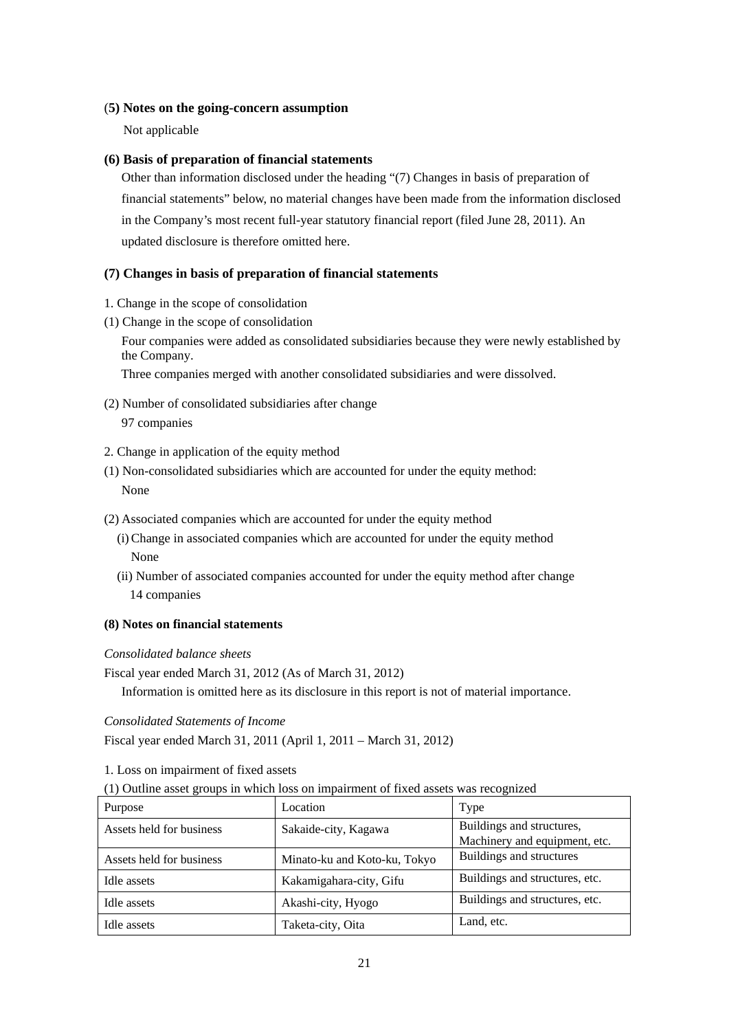## (**5) Notes on the going-concern assumption**

Not applicable

## **(6) Basis of preparation of financial statements**

Other than information disclosed under the heading "(7) Changes in basis of preparation of financial statements" below, no material changes have been made from the information disclosed in the Company's most recent full-year statutory financial report (filed June 28, 2011). An updated disclosure is therefore omitted here.

## **(7) Changes in basis of preparation of financial statements**

- 1. Change in the scope of consolidation
- (1) Change in the scope of consolidation

Four companies were added as consolidated subsidiaries because they were newly established by the Company.

Three companies merged with another consolidated subsidiaries and were dissolved.

- (2) Number of consolidated subsidiaries after change 97 companies
- 2. Change in application of the equity method
- (1) Non-consolidated subsidiaries which are accounted for under the equity method: None
- (2) Associated companies which are accounted for under the equity method
	- (i) Change in associated companies which are accounted for under the equity method None
	- (ii) Number of associated companies accounted for under the equity method after change 14 companies

## **(8) Notes on financial statements**

## *Consolidated balance sheets*

Fiscal year ended March 31, 2012 (As of March 31, 2012)

Information is omitted here as its disclosure in this report is not of material importance.

## *Consolidated Statements of Income*

Fiscal year ended March 31, 2011 (April 1, 2011 – March 31, 2012)

1. Loss on impairment of fixed assets

(1) Outline asset groups in which loss on impairment of fixed assets was recognized

| Purpose                  | Location                     | Type                                                       |
|--------------------------|------------------------------|------------------------------------------------------------|
| Assets held for business | Sakaide-city, Kagawa         | Buildings and structures,<br>Machinery and equipment, etc. |
| Assets held for business | Minato-ku and Koto-ku, Tokyo | Buildings and structures                                   |
| Idle assets              | Kakamigahara-city, Gifu      | Buildings and structures, etc.                             |
| Idle assets              | Akashi-city, Hyogo           | Buildings and structures, etc.                             |
| Idle assets              | Taketa-city, Oita            | Land, etc.                                                 |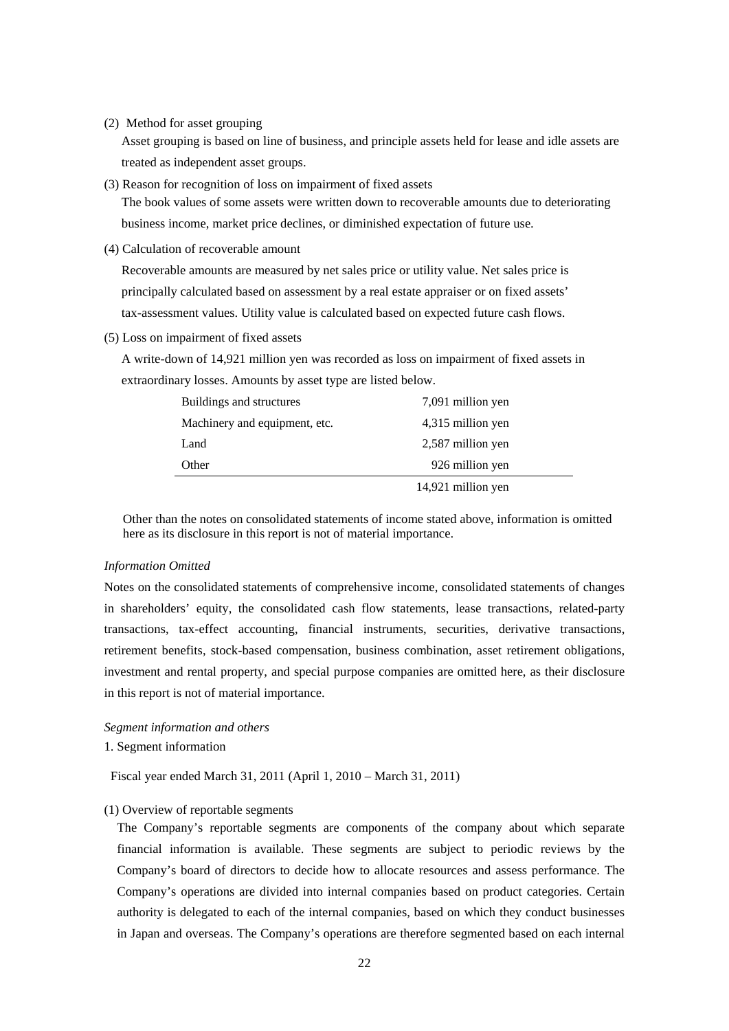(2) Method for asset grouping

Asset grouping is based on line of business, and principle assets held for lease and idle assets are treated as independent asset groups.

(3) Reason for recognition of loss on impairment of fixed assets

The book values of some assets were written down to recoverable amounts due to deteriorating business income, market price declines, or diminished expectation of future use.

(4) Calculation of recoverable amount

Recoverable amounts are measured by net sales price or utility value. Net sales price is principally calculated based on assessment by a real estate appraiser or on fixed assets' tax-assessment values. Utility value is calculated based on expected future cash flows.

(5) Loss on impairment of fixed assets

A write-down of 14,921 million yen was recorded as loss on impairment of fixed assets in extraordinary losses. Amounts by asset type are listed below.

| Buildings and structures      | 7,091 million yen  |
|-------------------------------|--------------------|
| Machinery and equipment, etc. | 4,315 million yen  |
| Land                          | 2,587 million yen  |
| Other                         | 926 million yen    |
|                               | 14,921 million yen |

Other than the notes on consolidated statements of income stated above, information is omitted here as its disclosure in this report is not of material importance.

#### *Information Omitted*

Notes on the consolidated statements of comprehensive income, consolidated statements of changes in shareholders' equity, the consolidated cash flow statements, lease transactions, related-party transactions, tax-effect accounting, financial instruments, securities, derivative transactions, retirement benefits, stock-based compensation, business combination, asset retirement obligations, investment and rental property, and special purpose companies are omitted here, as their disclosure in this report is not of material importance.

#### *Segment information and others*

## 1. Segment information

Fiscal year ended March 31, 2011 (April 1, 2010 – March 31, 2011)

## (1) Overview of reportable segments

The Company's reportable segments are components of the company about which separate financial information is available. These segments are subject to periodic reviews by the Company's board of directors to decide how to allocate resources and assess performance. The Company's operations are divided into internal companies based on product categories. Certain authority is delegated to each of the internal companies, based on which they conduct businesses in Japan and overseas. The Company's operations are therefore segmented based on each internal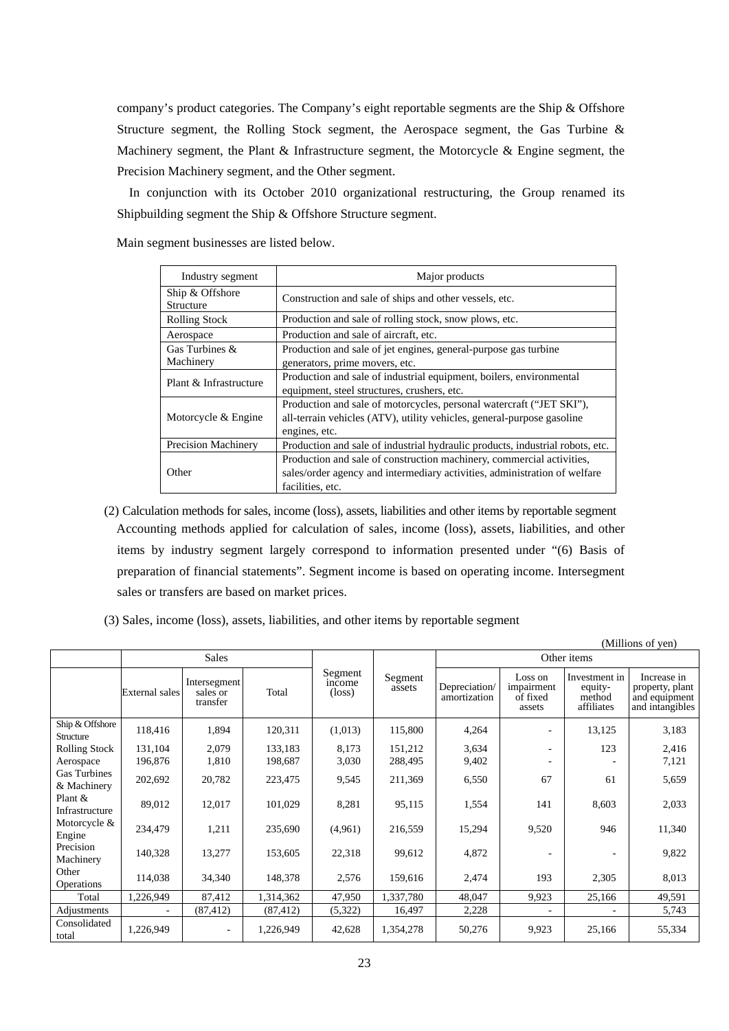company's product categories. The Company's eight reportable segments are the Ship & Offshore Structure segment, the Rolling Stock segment, the Aerospace segment, the Gas Turbine & Machinery segment, the Plant  $\&$  Infrastructure segment, the Motorcycle  $\&$  Engine segment, the Precision Machinery segment, and the Other segment.

In conjunction with its October 2010 organizational restructuring, the Group renamed its Shipbuilding segment the Ship & Offshore Structure segment.

Main segment businesses are listed below.

| Industry segment                    | Major products                                                                |  |  |  |  |  |
|-------------------------------------|-------------------------------------------------------------------------------|--|--|--|--|--|
| Ship & Offshore<br><b>Structure</b> | Construction and sale of ships and other vessels, etc.                        |  |  |  |  |  |
| <b>Rolling Stock</b>                | Production and sale of rolling stock, snow plows, etc.                        |  |  |  |  |  |
| Aerospace                           | Production and sale of aircraft, etc.                                         |  |  |  |  |  |
| Gas Turbines $\&$                   | Production and sale of jet engines, general-purpose gas turbine               |  |  |  |  |  |
| Machinery                           | generators, prime movers, etc.                                                |  |  |  |  |  |
| Plant & Infrastructure              | Production and sale of industrial equipment, boilers, environmental           |  |  |  |  |  |
|                                     | equipment, steel structures, crushers, etc.                                   |  |  |  |  |  |
|                                     | Production and sale of motorcycles, personal watercraft ("JET SKI"),          |  |  |  |  |  |
| Motorcycle & Engine                 | all-terrain vehicles (ATV), utility vehicles, general-purpose gasoline        |  |  |  |  |  |
|                                     | engines, etc.                                                                 |  |  |  |  |  |
| <b>Precision Machinery</b>          | Production and sale of industrial hydraulic products, industrial robots, etc. |  |  |  |  |  |
|                                     | Production and sale of construction machinery, commercial activities,         |  |  |  |  |  |
| Other                               | sales/order agency and intermediary activities, administration of welfare     |  |  |  |  |  |
|                                     | facilities, etc.                                                              |  |  |  |  |  |

- (2) Calculation methods for sales, income (loss), assets, liabilities and other items by reportable segment Accounting methods applied for calculation of sales, income (loss), assets, liabilities, and other items by industry segment largely correspond to information presented under "(6) Basis of preparation of financial statements". Segment income is based on operating income. Intersegment sales or transfers are based on market prices.
- (3) Sales, income (loss), assets, liabilities, and other items by reportable segment

|                                    |                       |                                      |           |                                      |                   |                               |                                             |                                                  | (Millions of yen)                                                  |
|------------------------------------|-----------------------|--------------------------------------|-----------|--------------------------------------|-------------------|-------------------------------|---------------------------------------------|--------------------------------------------------|--------------------------------------------------------------------|
|                                    |                       | <b>Sales</b>                         |           |                                      |                   | Other items                   |                                             |                                                  |                                                                    |
|                                    | <b>External sales</b> | Intersegment<br>sales or<br>transfer | Total     | Segment<br>income<br>$(\text{loss})$ | Segment<br>assets | Depreciation/<br>amortization | Loss on<br>impairment<br>of fixed<br>assets | Investment in<br>equity-<br>method<br>affiliates | Increase in<br>property, plant<br>and equipment<br>and intangibles |
| Ship & Offshore<br>Structure       | 118,416               | 1,894                                | 120,311   | (1,013)                              | 115,800           | 4,264                         |                                             | 13,125                                           | 3,183                                                              |
| <b>Rolling Stock</b>               | 131,104               | 2,079                                | 133,183   | 8,173                                | 151,212           | 3,634                         |                                             | 123                                              | 2,416                                                              |
| Aerospace                          | 196,876               | 1,810                                | 198,687   | 3,030                                | 288,495           | 9,402                         |                                             |                                                  | 7,121                                                              |
| <b>Gas Turbines</b><br>& Machinery | 202,692               | 20,782                               | 223,475   | 9,545                                | 211,369           | 6,550                         | 67                                          | 61                                               | 5,659                                                              |
| Plant &<br>Infrastructure          | 89,012                | 12,017                               | 101,029   | 8,281                                | 95,115            | 1,554                         | 141                                         | 8,603                                            | 2,033                                                              |
| Motorcycle &<br>Engine             | 234,479               | 1,211                                | 235,690   | (4,961)                              | 216,559           | 15,294                        | 9,520                                       | 946                                              | 11,340                                                             |
| Precision<br>Machinery             | 140,328               | 13,277                               | 153,605   | 22,318                               | 99,612            | 4,872                         |                                             |                                                  | 9,822                                                              |
| Other<br>Operations                | 114,038               | 34,340                               | 148,378   | 2,576                                | 159,616           | 2,474                         | 193                                         | 2,305                                            | 8,013                                                              |
| Total                              | 1,226,949             | 87,412                               | 1,314,362 | 47,950                               | 1,337,780         | 48,047                        | 9,923                                       | 25,166                                           | 49,591                                                             |
| Adjustments                        |                       | (87, 412)                            | (87, 412) | (5,322)                              | 16,497            | 2,228                         |                                             |                                                  | 5,743                                                              |
| Consolidated<br>total              | 1,226,949             | $\overline{\phantom{a}}$             | 1,226,949 | 42,628                               | 1,354,278         | 50,276                        | 9,923                                       | 25,166                                           | 55,334                                                             |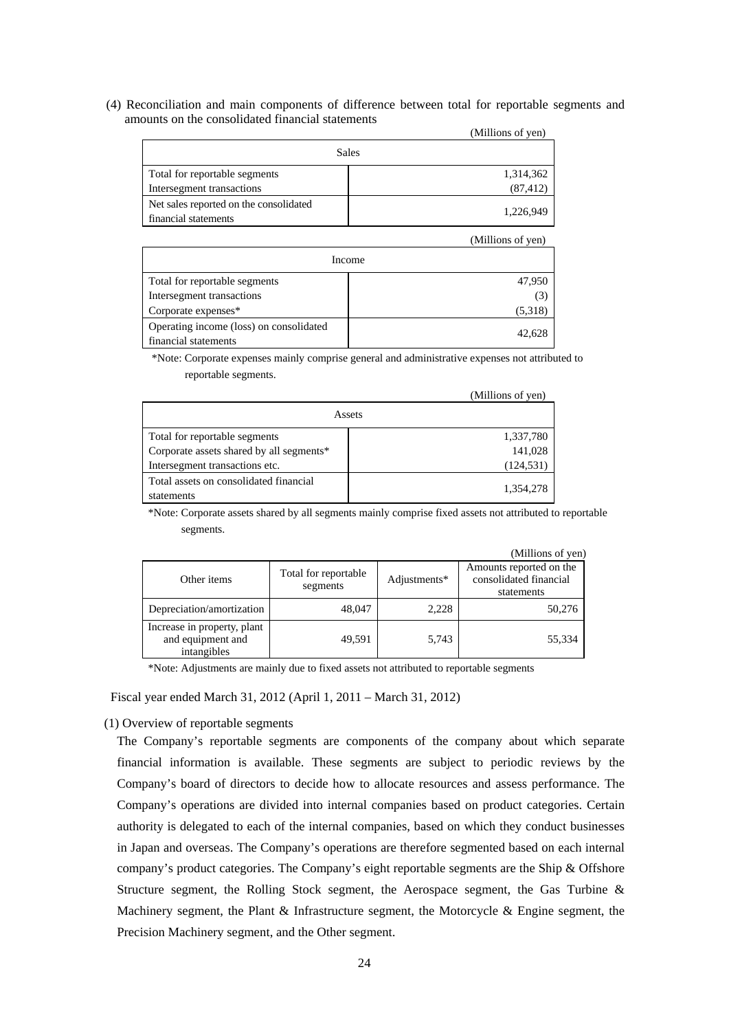(4) Reconciliation and main components of difference between total for reportable segments and amounts on the consolidated financial statements

|                                        | (Millions of yen) |
|----------------------------------------|-------------------|
|                                        | <b>Sales</b>      |
| Total for reportable segments          | 1,314,362         |
| Intersegment transactions              | (87, 412)         |
| Net sales reported on the consolidated | 1,226,949         |
| financial statements                   |                   |

|                                                                 | (Millions of yen) |
|-----------------------------------------------------------------|-------------------|
|                                                                 | Income            |
| Total for reportable segments                                   | 47,950            |
| Intersegment transactions                                       | (3)               |
| Corporate expenses*                                             | (5,318)           |
| Operating income (loss) on consolidated<br>financial statements | 42,628            |

\*Note: Corporate expenses mainly comprise general and administrative expenses not attributed to reportable segments.

|                                                      | (Millions of yen) |
|------------------------------------------------------|-------------------|
|                                                      | Assets            |
| Total for reportable segments                        | 1,337,780         |
| Corporate assets shared by all segments*             | 141,028           |
| Intersegment transactions etc.                       | (124, 531)        |
| Total assets on consolidated financial<br>statements | 1,354,278         |

\*Note: Corporate assets shared by all segments mainly comprise fixed assets not attributed to reportable segments.

|                                                                 |                                  |              | (Millions of yen)                                               |
|-----------------------------------------------------------------|----------------------------------|--------------|-----------------------------------------------------------------|
| Other items                                                     | Total for reportable<br>segments | Adjustments* | Amounts reported on the<br>consolidated financial<br>statements |
| Depreciation/amortization                                       | 48,047                           | 2.228        | 50,276                                                          |
| Increase in property, plant<br>and equipment and<br>intangibles | 49,591                           | 5,743        | 55,334                                                          |

\*Note: Adjustments are mainly due to fixed assets not attributed to reportable segments

Fiscal year ended March 31, 2012 (April 1, 2011 – March 31, 2012)

### (1) Overview of reportable segments

The Company's reportable segments are components of the company about which separate financial information is available. These segments are subject to periodic reviews by the Company's board of directors to decide how to allocate resources and assess performance. The Company's operations are divided into internal companies based on product categories. Certain authority is delegated to each of the internal companies, based on which they conduct businesses in Japan and overseas. The Company's operations are therefore segmented based on each internal company's product categories. The Company's eight reportable segments are the Ship & Offshore Structure segment, the Rolling Stock segment, the Aerospace segment, the Gas Turbine & Machinery segment, the Plant  $\&$  Infrastructure segment, the Motorcycle  $\&$  Engine segment, the Precision Machinery segment, and the Other segment.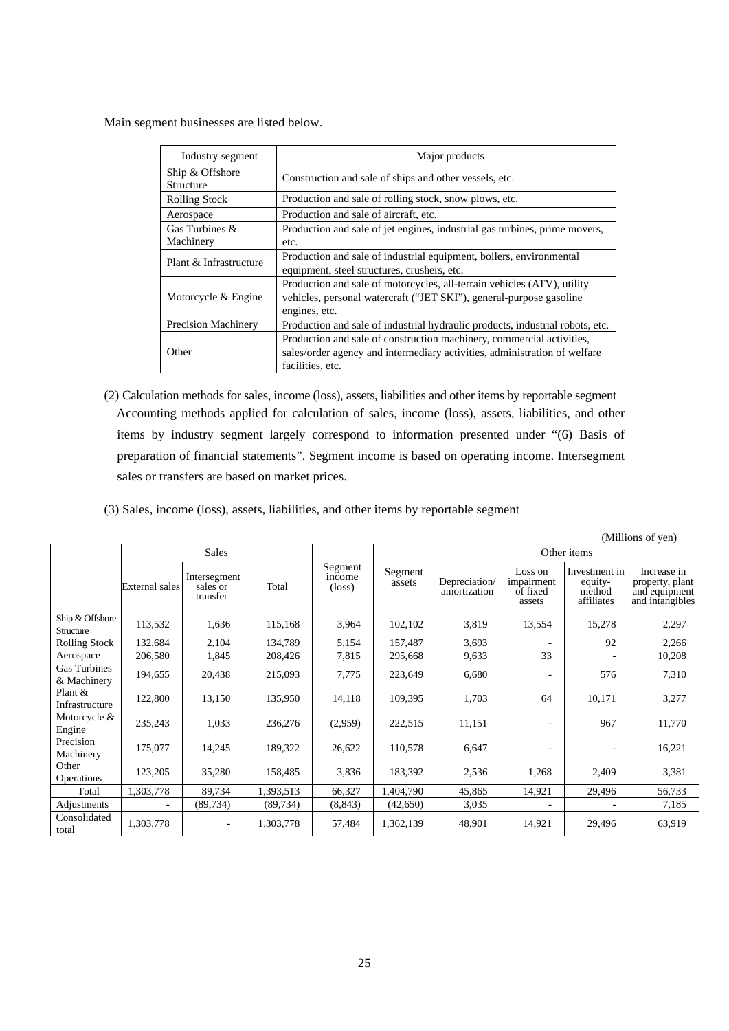Main segment businesses are listed below.

| Industry segment             | Major products                                                                                                                                                         |
|------------------------------|------------------------------------------------------------------------------------------------------------------------------------------------------------------------|
| Ship & Offshore<br>Structure | Construction and sale of ships and other vessels, etc.                                                                                                                 |
| <b>Rolling Stock</b>         | Production and sale of rolling stock, snow plows, etc.                                                                                                                 |
| Aerospace                    | Production and sale of aircraft, etc.                                                                                                                                  |
| Gas Turbines &<br>Machinery  | Production and sale of jet engines, industrial gas turbines, prime movers,<br>etc.                                                                                     |
| Plant & Infrastructure       | Production and sale of industrial equipment, boilers, environmental<br>equipment, steel structures, crushers, etc.                                                     |
| Motorcycle & Engine          | Production and sale of motorcycles, all-terrain vehicles (ATV), utility<br>vehicles, personal watercraft ("JET SKI"), general-purpose gasoline<br>engines, etc.        |
| Precision Machinery          | Production and sale of industrial hydraulic products, industrial robots, etc.                                                                                          |
| Other                        | Production and sale of construction machinery, commercial activities,<br>sales/order agency and intermediary activities, administration of welfare<br>facilities, etc. |

(2) Calculation methods for sales, income (loss), assets, liabilities and other items by reportable segment Accounting methods applied for calculation of sales, income (loss), assets, liabilities, and other items by industry segment largely correspond to information presented under "(6) Basis of preparation of financial statements". Segment income is based on operating income. Intersegment sales or transfers are based on market prices.

|  |  | (3) Sales, income (loss), assets, liabilities, and other items by reportable segment |  |
|--|--|--------------------------------------------------------------------------------------|--|
|  |  |                                                                                      |  |

|                                    |                |                                      |           |                                      |                   |                               |                                             |                                                  | (Millions of yen)                                                  |
|------------------------------------|----------------|--------------------------------------|-----------|--------------------------------------|-------------------|-------------------------------|---------------------------------------------|--------------------------------------------------|--------------------------------------------------------------------|
|                                    | <b>Sales</b>   |                                      |           |                                      |                   | Other items                   |                                             |                                                  |                                                                    |
|                                    | External sales | Intersegment<br>sales or<br>transfer | Total     | Segment<br>income<br>$(\text{loss})$ | Segment<br>assets | Depreciation/<br>amortization | Loss on<br>impairment<br>of fixed<br>assets | Investment in<br>equity-<br>method<br>affiliates | Increase in<br>property, plant<br>and equipment<br>and intangibles |
| Ship & Offshore<br>Structure       | 113,532        | 1,636                                | 115,168   | 3,964                                | 102,102           | 3,819                         | 13,554                                      | 15,278                                           | 2,297                                                              |
| <b>Rolling Stock</b>               | 132,684        | 2,104                                | 134,789   | 5,154                                | 157,487           | 3,693                         |                                             | 92                                               | 2,266                                                              |
| Aerospace                          | 206,580        | 1,845                                | 208,426   | 7,815                                | 295,668           | 9,633                         | 33                                          |                                                  | 10,208                                                             |
| <b>Gas Turbines</b><br>& Machinery | 194,655        | 20,438                               | 215,093   | 7,775                                | 223,649           | 6,680                         | ۰                                           | 576                                              | 7,310                                                              |
| Plant &<br>Infrastructure          | 122,800        | 13,150                               | 135,950   | 14,118                               | 109,395           | 1,703                         | 64                                          | 10,171                                           | 3,277                                                              |
| Motorcycle &<br>Engine             | 235,243        | 1,033                                | 236,276   | (2,959)                              | 222,515           | 11,151                        |                                             | 967                                              | 11,770                                                             |
| Precision<br>Machinery             | 175,077        | 14,245                               | 189,322   | 26,622                               | 110,578           | 6,647                         | ۰                                           |                                                  | 16,221                                                             |
| Other<br><b>Operations</b>         | 123,205        | 35,280                               | 158,485   | 3,836                                | 183,392           | 2,536                         | 1,268                                       | 2,409                                            | 3,381                                                              |
| Total                              | 1,303,778      | 89,734                               | 1,393,513 | 66,327                               | 1,404,790         | 45,865                        | 14,921                                      | 29,496                                           | 56,733                                                             |
| Adjustments                        |                | (89, 734)                            | (89, 734) | (8, 843)                             | (42,650)          | 3,035                         |                                             |                                                  | 7,185                                                              |
| Consolidated<br>total              | 1,303,778      | $\overline{\phantom{a}}$             | 1,303,778 | 57,484                               | 1,362,139         | 48,901                        | 14,921                                      | 29,496                                           | 63,919                                                             |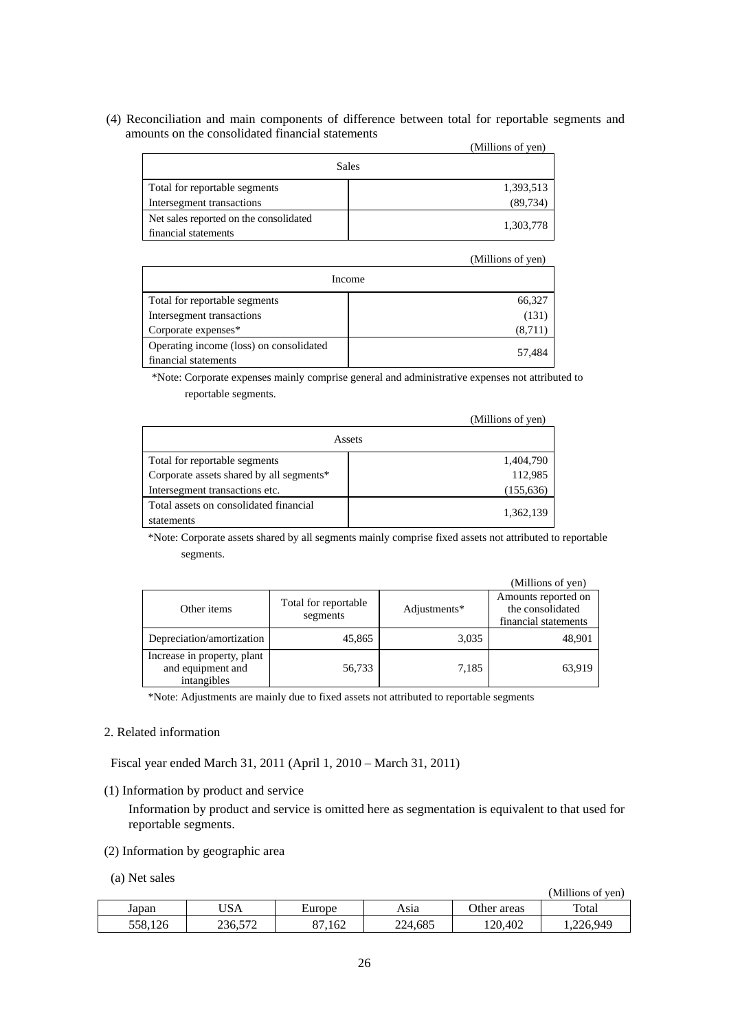(4) Reconciliation and main components of difference between total for reportable segments and amounts on the consolidated financial statements

|                                        | (Millions of yen) |
|----------------------------------------|-------------------|
|                                        | <b>Sales</b>      |
| Total for reportable segments          | 1,393,513         |
| Intersegment transactions              | (89, 734)         |
| Net sales reported on the consolidated |                   |
| financial statements                   | 1,303,778         |

|                                                                 | (Millions of yen) |
|-----------------------------------------------------------------|-------------------|
|                                                                 | Income            |
| Total for reportable segments                                   | 66,327            |
| Intersegment transactions                                       | (131)             |
| Corporate expenses*                                             | (8,711)           |
| Operating income (loss) on consolidated<br>financial statements | 57,484            |

\*Note: Corporate expenses mainly comprise general and administrative expenses not attributed to reportable segments.

|                                                      | (Millions of yen) |
|------------------------------------------------------|-------------------|
|                                                      | Assets            |
| Total for reportable segments                        | 1,404,790         |
| Corporate assets shared by all segments*             | 112,985           |
| Intersegment transactions etc.                       | (155, 636)        |
| Total assets on consolidated financial<br>statements | 1,362,139         |

\*Note: Corporate assets shared by all segments mainly comprise fixed assets not attributed to reportable segments.

|                                                                 |                                  |              | (Millions of yen)                                               |
|-----------------------------------------------------------------|----------------------------------|--------------|-----------------------------------------------------------------|
| Other items                                                     | Total for reportable<br>segments | Adjustments* | Amounts reported on<br>the consolidated<br>financial statements |
| Depreciation/amortization                                       | 45,865                           | 3,035        | 48,901                                                          |
| Increase in property, plant<br>and equipment and<br>intangibles | 56,733                           | 7,185        | 63.919                                                          |

\*Note: Adjustments are mainly due to fixed assets not attributed to reportable segments

## 2. Related information

Fiscal year ended March 31, 2011 (April 1, 2010 – March 31, 2011)

(1) Information by product and service

Information by product and service is omitted here as segmentation is equivalent to that used for reportable segments.

- (2) Information by geographic area
- (a) Net sales

| (Millions of yen) |  |  |
|-------------------|--|--|
|-------------------|--|--|

| Japan                              | $T$ $\sim$<br>'ISA      | $\overline{\phantom{a}}$<br>Europe | Asıa    | areas<br>Jther | Total          |
|------------------------------------|-------------------------|------------------------------------|---------|----------------|----------------|
| 10 <sup>2</sup><br>558.<br>. I 4 U | $-$<br>זר<br>200. J I 2 | 162<br>n-                          | 224,685 | <i>20.402</i>  | 226.949<br>$-$ |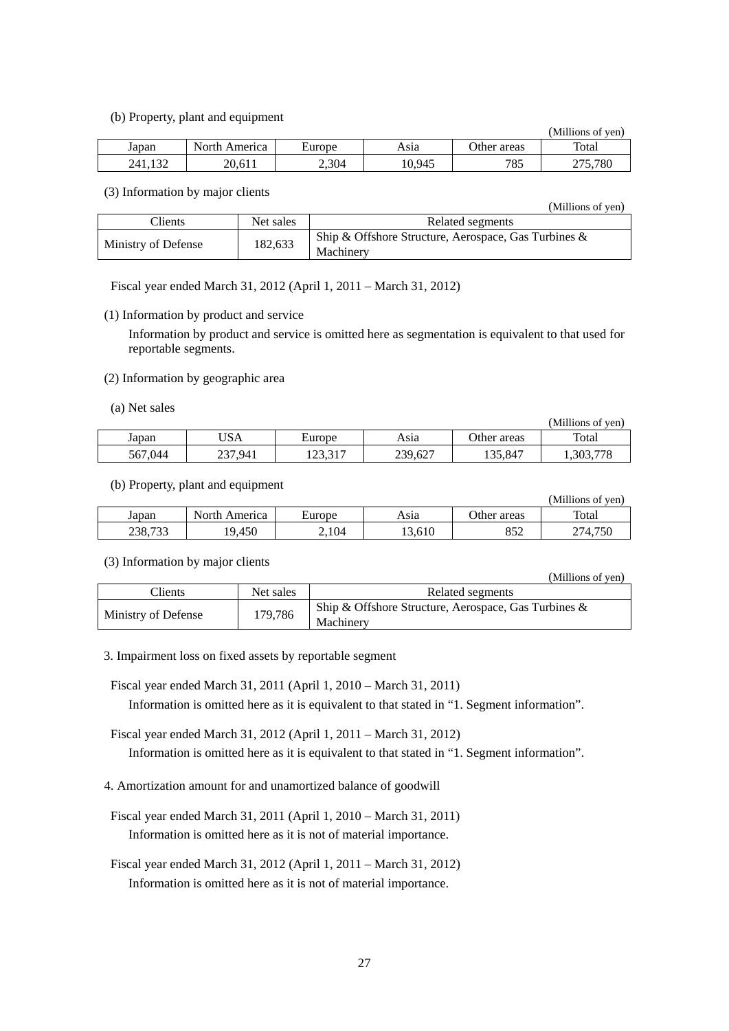(b) Property, plant and equipment

|         | $\mathcal{L} \cdot \mathcal{L}$ , the state of the state of the state $\mathcal{L} \cdot \mathcal{L}$ |        |        |             | (Millions of yen) |
|---------|-------------------------------------------------------------------------------------------------------|--------|--------|-------------|-------------------|
| Japan   | North America                                                                                         | Europe | Asıa   | Other areas | Total             |
| 241,132 | 20,611                                                                                                | 2,304  | 10,945 | 785         | 275.780           |

(3) Information by major clients

|                     |           | (Millions of yen)                                                    |
|---------------------|-----------|----------------------------------------------------------------------|
| Clients             | Net sales | Related segments                                                     |
| Ministry of Defense | 182,633   | Ship & Offshore Structure, Aerospace, Gas Turbines $\&$<br>Machinery |

Fiscal year ended March 31, 2012 (April 1, 2011 – March 31, 2012)

(1) Information by product and service

Information by product and service is omitted here as segmentation is equivalent to that used for reportable segments.

- (2) Information by geographic area
- (a) Net sales

|         |                |                  |         |             | (Millions of yen) |
|---------|----------------|------------------|---------|-------------|-------------------|
| Japan   | USA            | Europe           | Asıa    | Other areas | Total             |
| 567,044 | 237.941<br>231 | 12227<br>12J.J.I | 239,627 | 135,847     | 1,303,778         |

(b) Property, plant and equipment

|         |                  |        |        |             | UNILIIONS OI Ven) |
|---------|------------------|--------|--------|-------------|-------------------|
| Japan   | North<br>America | Europe | Asıa   | Other areas | Total             |
| 238,733 | 9,450            | 2.104  | 13.610 | 852         | 274.750           |

 $(x, t)$ 

(3) Information by major clients

|                     |           | (Millions of yen)                                                    |
|---------------------|-----------|----------------------------------------------------------------------|
| Clients             | Net sales | Related segments                                                     |
| Ministry of Defense | 179,786   | Ship & Offshore Structure, Aerospace, Gas Turbines $\&$<br>Machinery |

3. Impairment loss on fixed assets by reportable segment

Fiscal year ended March 31, 2011 (April 1, 2010 – March 31, 2011) Information is omitted here as it is equivalent to that stated in "1. Segment information".

Fiscal year ended March 31, 2012 (April 1, 2011 – March 31, 2012) Information is omitted here as it is equivalent to that stated in "1. Segment information".

- 4. Amortization amount for and unamortized balance of goodwill
- Fiscal year ended March 31, 2011 (April 1, 2010 March 31, 2011) Information is omitted here as it is not of material importance.
- Fiscal year ended March 31, 2012 (April 1, 2011 March 31, 2012) Information is omitted here as it is not of material importance.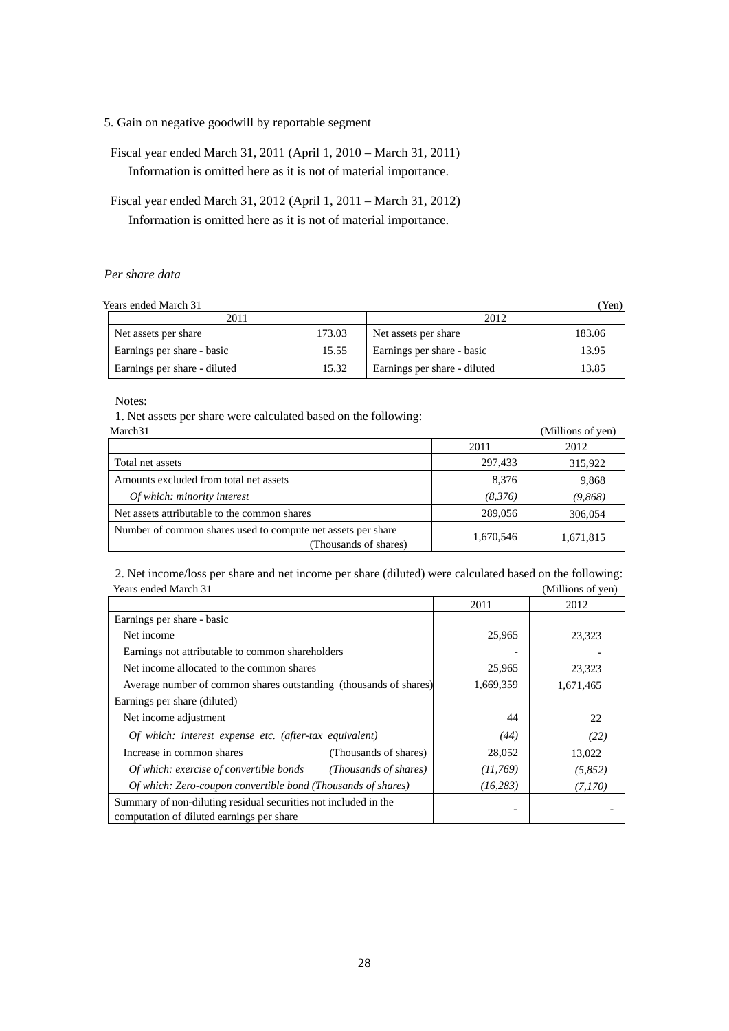- 5. Gain on negative goodwill by reportable segment
- Fiscal year ended March 31, 2011 (April 1, 2010 March 31, 2011) Information is omitted here as it is not of material importance.
- Fiscal year ended March 31, 2012 (April 1, 2011 March 31, 2012) Information is omitted here as it is not of material importance.

## *Per share data*

Years ended March 31 (Yen)

| 1 0ai 9 0an 0a 191ai 0a 97   |        | $\sim$ $\sim$ $\sim$ $\sim$ $\sim$ |        |  |
|------------------------------|--------|------------------------------------|--------|--|
| 2011                         |        | 2012                               |        |  |
| Net assets per share         | 173.03 | Net assets per share               | 183.06 |  |
| Earnings per share - basic   | 15.55  | Earnings per share - basic         | 13.95  |  |
| Earnings per share - diluted | 15.32  | Earnings per share - diluted       | 13.85  |  |

Notes:

1. Net assets per share were calculated based on the following:

| March <sub>31</sub>                                                                   |           | (Millions of yen) |
|---------------------------------------------------------------------------------------|-----------|-------------------|
|                                                                                       | 2011      | 2012              |
| Total net assets                                                                      | 297,433   | 315,922           |
| Amounts excluded from total net assets                                                | 8,376     | 9,868             |
| Of which: minority interest                                                           | (8,376)   | (9,868)           |
| Net assets attributable to the common shares                                          | 289,056   | 306,054           |
| Number of common shares used to compute net assets per share<br>(Thousands of shares) | 1,670,546 | 1,671,815         |

2. Net income/loss per share and net income per share (diluted) were calculated based on the following: Years ended March 31 (Millions of yen)

|                                                                   | 2011      | 2012      |
|-------------------------------------------------------------------|-----------|-----------|
| Earnings per share - basic                                        |           |           |
| Net income                                                        | 25,965    | 23,323    |
| Earnings not attributable to common shareholders                  |           |           |
| Net income allocated to the common shares                         | 25,965    | 23,323    |
| Average number of common shares outstanding (thousands of shares) | 1,669,359 | 1,671,465 |
| Earnings per share (diluted)                                      |           |           |
| Net income adjustment                                             | 44        | 22.       |
| Of which: interest expense etc. (after-tax equivalent)            | (44)      | (22)      |
| Increase in common shares<br>(Thousands of shares)                | 28,052    | 13,022    |
| Of which: exercise of convertible bonds<br>(Thousands of shares)  | (11,769)  | (5,852)   |
| Of which: Zero-coupon convertible bond (Thousands of shares)      | (16, 283) | (7,170)   |
| Summary of non-diluting residual securities not included in the   |           |           |
| computation of diluted earnings per share                         |           |           |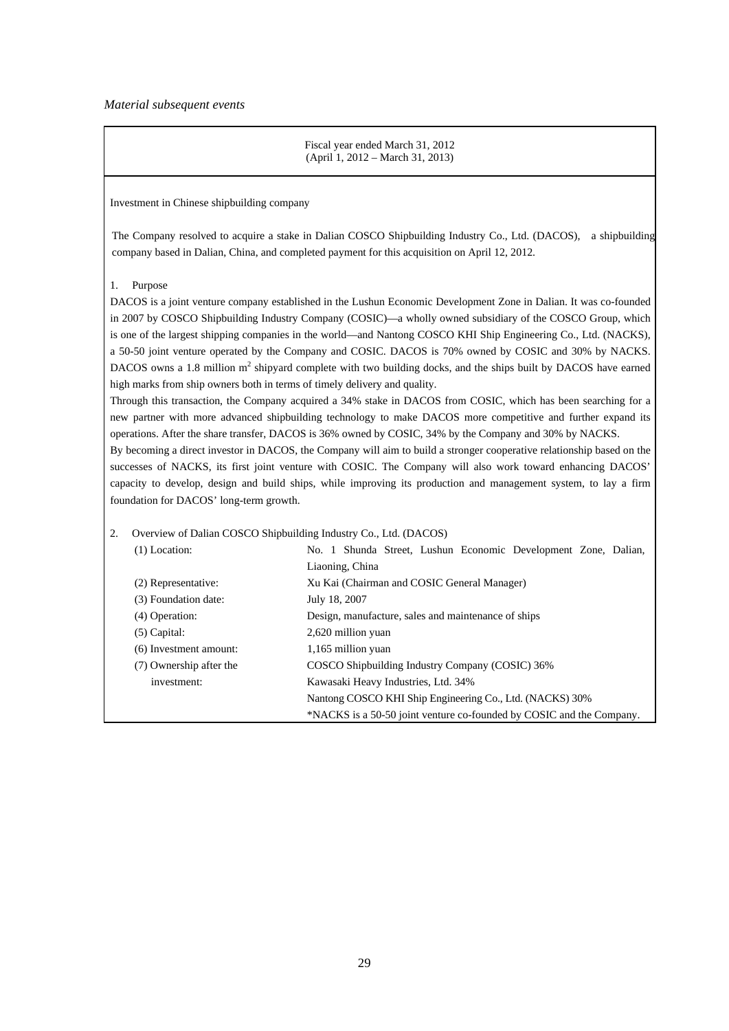#### *Material subsequent events*

Fiscal year ended March 31, 2012 (April 1, 2012 – March 31, 2013)

Investment in Chinese shipbuilding company

The Company resolved to acquire a stake in Dalian COSCO Shipbuilding Industry Co., Ltd. (DACOS), a shipbuilding company based in Dalian, China, and completed payment for this acquisition on April 12, 2012.

## 1. Purpose

DACOS is a joint venture company established in the Lushun Economic Development Zone in Dalian. It was co-founded in 2007 by COSCO Shipbuilding Industry Company (COSIC)—a wholly owned subsidiary of the COSCO Group, which is one of the largest shipping companies in the world—and Nantong COSCO KHI Ship Engineering Co., Ltd. (NACKS), a 50-50 joint venture operated by the Company and COSIC. DACOS is 70% owned by COSIC and 30% by NACKS. DACOS owns a 1.8 million  $m^2$  shipyard complete with two building docks, and the ships built by DACOS have earned high marks from ship owners both in terms of timely delivery and quality.

Through this transaction, the Company acquired a 34% stake in DACOS from COSIC, which has been searching for a new partner with more advanced shipbuilding technology to make DACOS more competitive and further expand its operations. After the share transfer, DACOS is 36% owned by COSIC, 34% by the Company and 30% by NACKS.

By becoming a direct investor in DACOS, the Company will aim to build a stronger cooperative relationship based on the successes of NACKS, its first joint venture with COSIC. The Company will also work toward enhancing DACOS' capacity to develop, design and build ships, while improving its production and management system, to lay a firm foundation for DACOS' long-term growth.

#### 2. Overview of Dalian COSCO Shipbuilding Industry Co., Ltd. (DACOS)

| (1) Location:           | No. 1 Shunda Street, Lushun Economic Development Zone, Dalian,       |  |  |  |  |
|-------------------------|----------------------------------------------------------------------|--|--|--|--|
|                         | Liaoning, China                                                      |  |  |  |  |
| (2) Representative:     | Xu Kai (Chairman and COSIC General Manager)                          |  |  |  |  |
| (3) Foundation date:    | July 18, 2007                                                        |  |  |  |  |
| $(4)$ Operation:        | Design, manufacture, sales and maintenance of ships                  |  |  |  |  |
| $(5)$ Capital:          | 2,620 million yuan                                                   |  |  |  |  |
| (6) Investment amount:  | 1,165 million yuan                                                   |  |  |  |  |
| (7) Ownership after the | COSCO Shipbuilding Industry Company (COSIC) 36%                      |  |  |  |  |
| investment:             | Kawasaki Heavy Industries, Ltd. 34%                                  |  |  |  |  |
|                         | Nantong COSCO KHI Ship Engineering Co., Ltd. (NACKS) 30%             |  |  |  |  |
|                         | *NACKS is a 50-50 joint venture co-founded by COSIC and the Company. |  |  |  |  |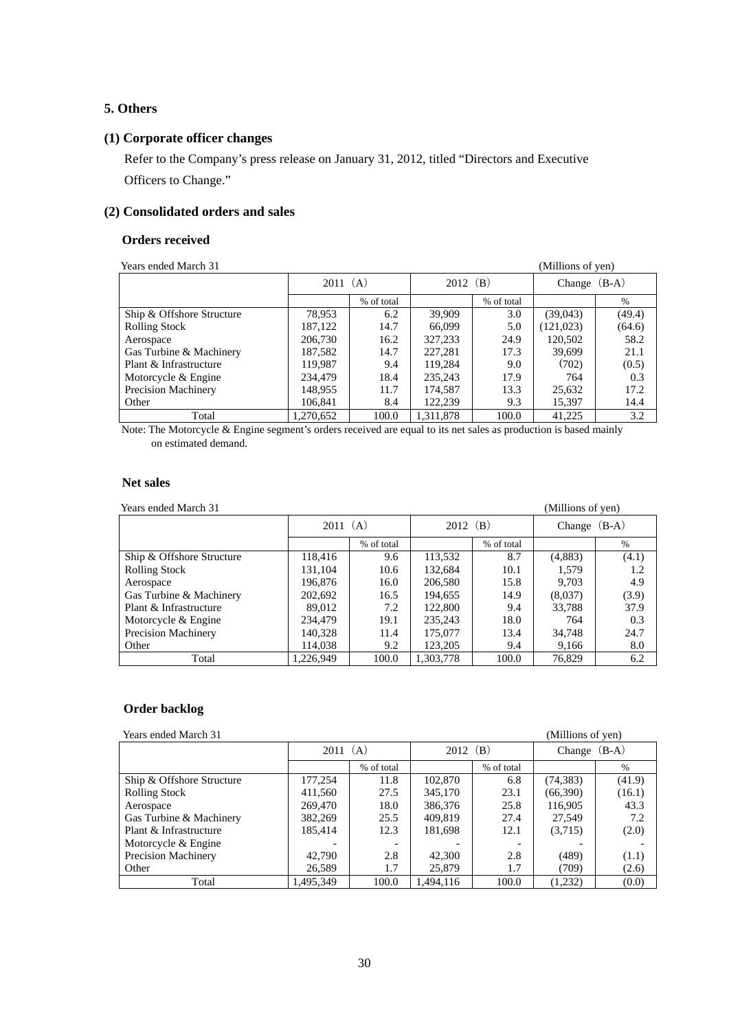## **5. Others**

## **(1) Corporate officer changes**

Refer to the Company's press release on January 31, 2012, titled "Directors and Executive Officers to Change."

# **(2) Consolidated orders and sales**

# **Orders received**

| Years ended March 31      |           |            |            |            | (Millions of yen) |        |
|---------------------------|-----------|------------|------------|------------|-------------------|--------|
|                           | 2011(A)   |            | 2012 $(B)$ |            | Change $(B-A)$    |        |
|                           |           | % of total |            | % of total |                   | $\%$   |
| Ship & Offshore Structure | 78,953    | 6.2        | 39,909     | 3.0        | (39,043)          | (49.4) |
| <b>Rolling Stock</b>      | 187,122   | 14.7       | 66,099     | 5.0        | (121, 023)        | (64.6) |
| Aerospace                 | 206,730   | 16.2       | 327,233    | 24.9       | 120.502           | 58.2   |
| Gas Turbine & Machinery   | 187,582   | 14.7       | 227,281    | 17.3       | 39.699            | 21.1   |
| Plant & Infrastructure    | 119,987   | 9.4        | 119,284    | 9.0        | (702)             | (0.5)  |
| Motorcycle & Engine       | 234,479   | 18.4       | 235,243    | 17.9       | 764               | 0.3    |
| Precision Machinery       | 148,955   | 11.7       | 174,587    | 13.3       | 25,632            | 17.2   |
| Other                     | 106.841   | 8.4        | 122,239    | 9.3        | 15,397            | 14.4   |
| Total                     | 1,270,652 | 100.0      | 1.311.878  | 100.0      | 41,225            | 3.2    |

Note: The Motorcycle & Engine segment's orders received are equal to its net sales as production is based mainly on estimated demand.

#### **Net sales**

| Years ended March 31      |           |            |            |            | (Millions of yen) |       |
|---------------------------|-----------|------------|------------|------------|-------------------|-------|
|                           | 2011(A)   |            | $2012$ (B) |            | Change $(B-A)$    |       |
|                           |           | % of total |            | % of total |                   | $\%$  |
| Ship & Offshore Structure | 118,416   | 9.6        | 113,532    | 8.7        | (4,883)           | (4.1) |
| <b>Rolling Stock</b>      | 131.104   | 10.6       | 132.684    | 10.1       | 1.579             | 1.2   |
| Aerospace                 | 196,876   | 16.0       | 206,580    | 15.8       | 9.703             | 4.9   |
| Gas Turbine & Machinery   | 202,692   | 16.5       | 194,655    | 14.9       | (8,037)           | (3.9) |
| Plant & Infrastructure    | 89.012    | 7.2        | 122,800    | 9.4        | 33.788            | 37.9  |
| Motorcycle & Engine       | 234,479   | 19.1       | 235,243    | 18.0       | 764               | 0.3   |
| Precision Machinery       | 140,328   | 11.4       | 175,077    | 13.4       | 34.748            | 24.7  |
| Other                     | 114.038   | 9.2        | 123,205    | 9.4        | 9,166             | 8.0   |
| Total                     | 1.226.949 | 100.0      | 1.303.778  | 100.0      | 76,829            | 6.2   |

## **Order backlog**

**Preaded March 31** (Millions of yen)

|                            | (A)<br>2011 |                          | $2012 \text{ (B)}$ |            | $(B-A)$<br>Change |        |
|----------------------------|-------------|--------------------------|--------------------|------------|-------------------|--------|
|                            |             | % of total               |                    | % of total |                   | $\%$   |
| Ship & Offshore Structure  | 177,254     | 11.8                     | 102,870            | 6.8        | (74, 383)         | (41.9) |
| <b>Rolling Stock</b>       | 411,560     | 27.5                     | 345,170            | 23.1       | (66,390)          | (16.1) |
| Aerospace                  | 269,470     | 18.0                     | 386,376            | 25.8       | 116,905           | 43.3   |
| Gas Turbine & Machinery    | 382,269     | 25.5                     | 409,819            | 27.4       | 27,549            | 7.2    |
| Plant & Infrastructure     | 185,414     | 12.3                     | 181,698            | 12.1       | (3,715)           | (2.0)  |
| Motorcycle & Engine        |             | $\overline{\phantom{a}}$ |                    |            |                   |        |
| <b>Precision Machinery</b> | 42,790      | 2.8                      | 42,300             | 2.8        | (489)             | (1.1)  |
| Other                      | 26,589      | 1.7                      | 25,879             | 1.7        | (709)             | (2.6)  |
| Total                      | 1,495,349   | 100.0                    | .494.116           | 100.0      | (1,232)           | (0.0)  |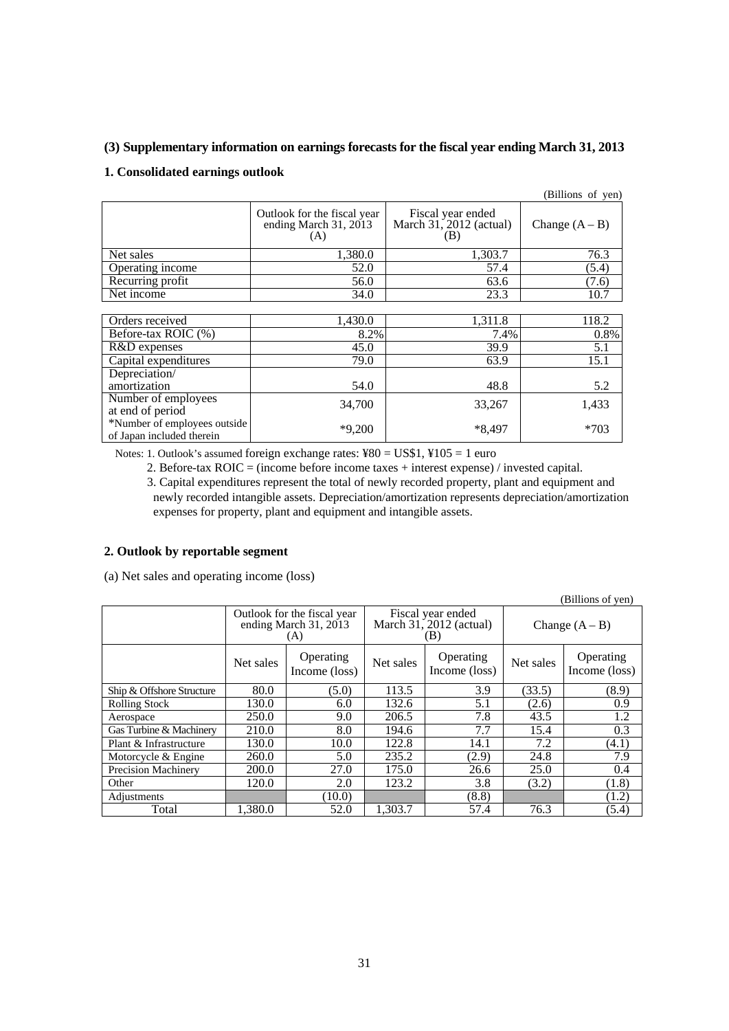## **(3) Supplementary information on earnings forecasts for the fiscal year ending March 31, 2013**

## **1. Consolidated earnings outlook**

|                                                           |                                                               |                                                     | (Billions of yen) |
|-----------------------------------------------------------|---------------------------------------------------------------|-----------------------------------------------------|-------------------|
|                                                           | Outlook for the fiscal year<br>ending March $31, 2013$<br>(A) | Fiscal year ended<br>March 31, 2012 (actual)<br>(B) | Change $(A - B)$  |
| Net sales                                                 | 1,380.0                                                       | 1,303.7                                             | 76.3              |
| Operating income                                          | 52.0                                                          | 57.4                                                | (5.4)             |
| Recurring profit                                          | 56.0                                                          | 63.6                                                | (7.6)             |
| Net income                                                | 34.0                                                          | 23.3                                                | 10.7              |
|                                                           |                                                               |                                                     |                   |
| Orders received                                           | 1,430.0                                                       | 1,311.8                                             | 118.2             |
| Before-tax ROIC (%)                                       | 8.2%                                                          | 7.4%                                                | 0.8%              |
| R&D expenses                                              | 45.0                                                          | 39.9                                                | 5.1               |
| Capital expenditures                                      | 79.0                                                          | 63.9                                                | 15.1              |
| Depreciation/                                             |                                                               |                                                     |                   |
| amortization                                              | 54.0                                                          | 48.8                                                | 5.2               |
| Number of employees<br>at end of period                   | 34,700                                                        | 33,267                                              | 1,433             |
| *Number of employees outside<br>of Japan included therein | $*9,200$                                                      | *8.497                                              | $*703$            |

Notes: 1. Outlook's assumed foreign exchange rates: ¥80 = US\$1, ¥105 = 1 euro

2. Before-tax ROIC = (income before income taxes + interest expense) / invested capital.

3. Capital expenditures represent the total of newly recorded property, plant and equipment and newly recorded intangible assets. Depreciation/amortization represents depreciation/amortization expenses for property, plant and equipment and intangible assets.

## **2. Outlook by reportable segment**

(a) Net sales and operating income (loss)

| (DIIIUII) UI YUII         |                                                               |                            |           |                                                       |                  |                            |
|---------------------------|---------------------------------------------------------------|----------------------------|-----------|-------------------------------------------------------|------------------|----------------------------|
|                           | Outlook for the fiscal year<br>ending March $31, 2013$<br>(A) |                            |           | Fiscal year ended<br>March $31, 2012$ (actual)<br>ΈB) | Change $(A - B)$ |                            |
|                           | Net sales                                                     | Operating<br>Income (loss) | Net sales | Operating<br>Income (loss)                            | Net sales        | Operating<br>Income (loss) |
| Ship & Offshore Structure | 80.0                                                          | (5.0)                      | 113.5     | 3.9                                                   | (33.5)           | (8.9)                      |
| <b>Rolling Stock</b>      | 130.0                                                         | 6.0                        | 132.6     | 5.1                                                   | (2.6)            | 0.9                        |
| Aerospace                 | 250.0                                                         | 9.0                        | 206.5     | 7.8                                                   | 43.5             | 1.2                        |
| Gas Turbine & Machinery   | 210.0                                                         | 8.0                        | 194.6     | 7.7                                                   | 15.4             | 0.3                        |
| Plant & Infrastructure    | 130.0                                                         | 10.0                       | 122.8     | 14.1                                                  | 7.2              | (4.1)                      |
| Motorcycle & Engine       | 260.0                                                         | 5.0                        | 235.2     | (2.9)                                                 | 24.8             | 7.9                        |
| Precision Machinery       | 200.0                                                         | 27.0                       | 175.0     | 26.6                                                  | 25.0             | 0.4                        |
| Other                     | 120.0                                                         | 2.0                        | 123.2     | 3.8                                                   | (3.2)            | (1.8)                      |
| Adjustments               |                                                               | (10.0)                     |           | (8.8)                                                 |                  | (1.2)                      |
| Total                     | 1.380.0                                                       | 52.0                       | 1.303.7   | 57.4                                                  | 76.3             | (5.4)                      |

(Billions of yen)